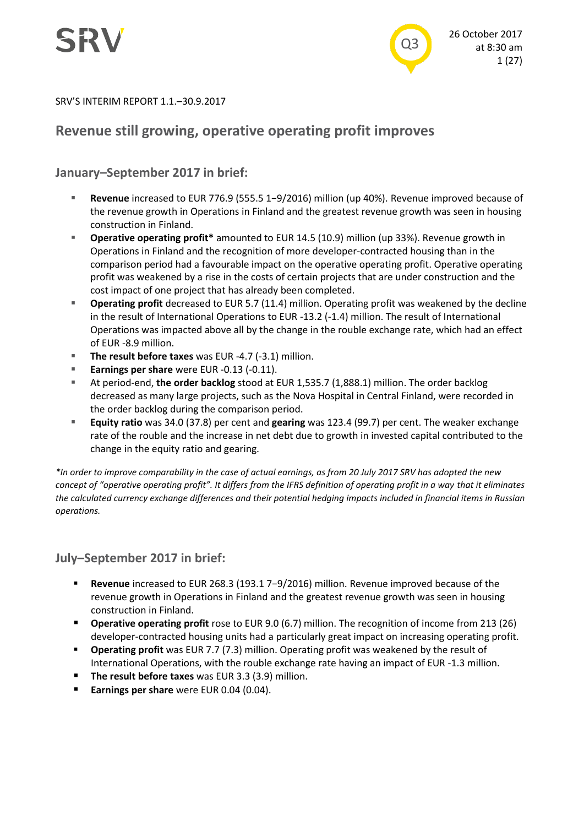

SRV'S INTERIM REPORT 1.1.–30.9.2017

# **Revenue still growing, operative operating profit improves**

# **January–September 2017 in brief:**

- **Revenue** increased to EUR 776.9 (555.5 1−9/2016) million (up 40%). Revenue improved because of the revenue growth in Operations in Finland and the greatest revenue growth was seen in housing construction in Finland.
- **Operative operating profit\*** amounted to EUR 14.5 (10.9) million (up 33%). Revenue growth in Operations in Finland and the recognition of more developer-contracted housing than in the comparison period had a favourable impact on the operative operating profit. Operative operating profit was weakened by a rise in the costs of certain projects that are under construction and the cost impact of one project that has already been completed.
- **Deprating profit** decreased to EUR 5.7 (11.4) million. Operating profit was weakened by the decline in the result of International Operations to EUR -13.2 (-1.4) million. The result of International Operations was impacted above all by the change in the rouble exchange rate, which had an effect of EUR -8.9 million.
- **The result before taxes** was EUR -4.7 (-3.1) million.
- **Earnings per share** were EUR -0.13 (-0.11).
- At period-end, **the order backlog** stood at EUR 1,535.7 (1,888.1) million. The order backlog decreased as many large projects, such as the Nova Hospital in Central Finland, were recorded in the order backlog during the comparison period.
- **Equity ratio** was 34.0 (37.8) per cent and **gearing** was 123.4 (99.7) per cent. The weaker exchange rate of the rouble and the increase in net debt due to growth in invested capital contributed to the change in the equity ratio and gearing.

*\*In order to improve comparability in the case of actual earnings, as from 20 July 2017 SRV has adopted the new concept of "operative operating profit". It differs from the IFRS definition of operating profit in a way that it eliminates the calculated currency exchange differences and their potential hedging impacts included in financial items in Russian operations.*

# **July–September 2017 in brief:**

- **Revenue** increased to EUR 268.3 (193.1 7−9/2016) million. Revenue improved because of the revenue growth in Operations in Finland and the greatest revenue growth was seen in housing construction in Finland.
- **Operative operating profit** rose to EUR 9.0 (6.7) million. The recognition of income from 213 (26) developer-contracted housing units had a particularly great impact on increasing operating profit.
- **Operating profit** was EUR 7.7 (7.3) million. Operating profit was weakened by the result of International Operations, with the rouble exchange rate having an impact of EUR -1.3 million.
- **The result before taxes** was EUR 3.3 (3.9) million.
- **Earnings per share** were EUR 0.04 (0.04).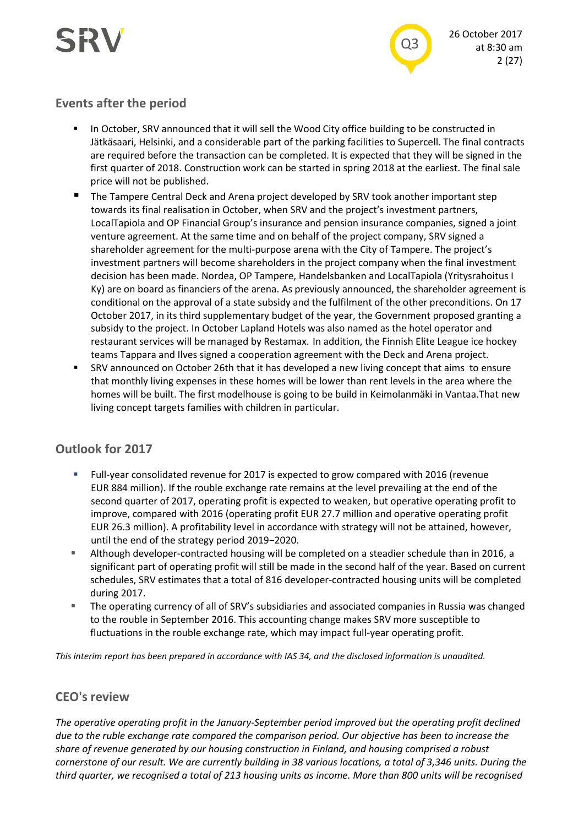

# **Events after the period**

- **In October, SRV announced that it will sell the Wood City office building to be constructed in** Jätkäsaari, Helsinki, and a considerable part of the parking facilities to Supercell. The final contracts are required before the transaction can be completed. It is expected that they will be signed in the first quarter of 2018. Construction work can be started in spring 2018 at the earliest. The final sale price will not be published.
- The Tampere Central Deck and Arena project developed by SRV took another important step towards its final realisation in October, when SRV and the project's investment partners, LocalTapiola and OP Financial Group's insurance and pension insurance companies, signed a joint venture agreement. At the same time and on behalf of the project company, SRV signed a shareholder agreement for the multi-purpose arena with the City of Tampere. The project's investment partners will become shareholders in the project company when the final investment decision has been made. Nordea, OP Tampere, Handelsbanken and LocalTapiola (Yritysrahoitus I Ky) are on board as financiers of the arena. As previously announced, the shareholder agreement is conditional on the approval of a state subsidy and the fulfilment of the other preconditions. On 17 October 2017, in its third supplementary budget of the year, the Government proposed granting a subsidy to the project. In October Lapland Hotels was also named as the hotel operator and restaurant services will be managed by Restamax. In addition, the Finnish Elite League ice hockey teams Tappara and Ilves signed a cooperation agreement with the Deck and Arena project.
- SRV announced on October 26th that it has developed a new living concept that aims to ensure that monthly living expenses in these homes will be lower than rent levels in the area where the homes will be built. The first modelhouse is going to be build in Keimolanmäki in Vantaa.That new living concept targets families with children in particular.

# **Outlook for 2017**

- Full-year consolidated revenue for 2017 is expected to grow compared with 2016 (revenue EUR 884 million). If the rouble exchange rate remains at the level prevailing at the end of the second quarter of 2017, operating profit is expected to weaken, but operative operating profit to improve, compared with 2016 (operating profit EUR 27.7 million and operative operating profit EUR 26.3 million). A profitability level in accordance with strategy will not be attained, however, until the end of the strategy period 2019−2020.
- Although developer-contracted housing will be completed on a steadier schedule than in 2016, a significant part of operating profit will still be made in the second half of the year. Based on current schedules, SRV estimates that a total of 816 developer-contracted housing units will be completed during 2017.
- The operating currency of all of SRV's subsidiaries and associated companies in Russia was changed to the rouble in September 2016. This accounting change makes SRV more susceptible to fluctuations in the rouble exchange rate, which may impact full-year operating profit.

*This interim report has been prepared in accordance with IAS 34, and the disclosed information is unaudited.*

# **CEO's review**

*The operative operating profit in the January-September period improved but the operating profit declined due to the ruble exchange rate compared the comparison period. Our objective has been to increase the share of revenue generated by our housing construction in Finland, and housing comprised a robust cornerstone of our result. We are currently building in 38 various locations, a total of 3,346 units. During the third quarter, we recognised a total of 213 housing units as income. More than 800 units will be recognised*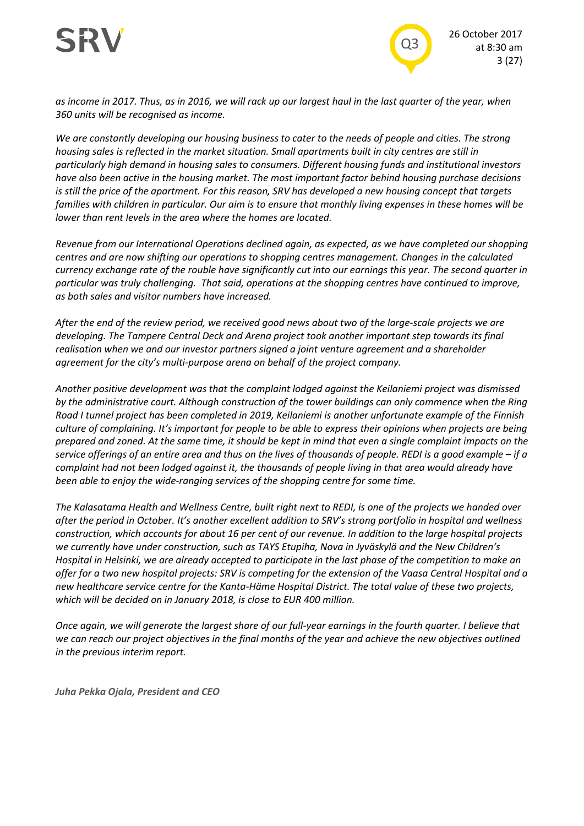



*as income in 2017. Thus, as in 2016, we will rack up our largest haul in the last quarter of the year, when 360 units will be recognised as income.* 

*We are constantly developing our housing business to cater to the needs of people and cities. The strong housing sales is reflected in the market situation. Small apartments built in city centres are still in particularly high demand in housing sales to consumers. Different housing funds and institutional investors have also been active in the housing market. The most important factor behind housing purchase decisions is still the price of the apartment. For this reason, SRV has developed a new housing concept that targets families with children in particular. Our aim is to ensure that monthly living expenses in these homes will be lower than rent levels in the area where the homes are located.*

*Revenue from our International Operations declined again, as expected, as we have completed our shopping centres and are now shifting our operations to shopping centres management. Changes in the calculated currency exchange rate of the rouble have significantly cut into our earnings this year. The second quarter in particular was truly challenging. That said, operations at the shopping centres have continued to improve, as both sales and visitor numbers have increased.*

*After the end of the review period, we received good news about two of the large-scale projects we are developing. The Tampere Central Deck and Arena project took another important step towards its final realisation when we and our investor partners signed a joint venture agreement and a shareholder agreement for the city's multi-purpose arena on behalf of the project company.*

*Another positive development was that the complaint lodged against the Keilaniemi project was dismissed by the administrative court. Although construction of the tower buildings can only commence when the Ring Road I tunnel project has been completed in 2019, Keilaniemi is another unfortunate example of the Finnish culture of complaining. It's important for people to be able to express their opinions when projects are being prepared and zoned. At the same time, it should be kept in mind that even a single complaint impacts on the service offerings of an entire area and thus on the lives of thousands of people. REDI is a good example – if a complaint had not been lodged against it, the thousands of people living in that area would already have been able to enjoy the wide-ranging services of the shopping centre for some time.*

*The Kalasatama Health and Wellness Centre, built right next to REDI, is one of the projects we handed over after the period in October. It's another excellent addition to SRV's strong portfolio in hospital and wellness construction, which accounts for about 16 per cent of our revenue. In addition to the large hospital projects we currently have under construction, such as TAYS Etupiha, Nova in Jyväskylä and the New Children's Hospital in Helsinki, we are already accepted to participate in the last phase of the competition to make an offer for a two new hospital projects: SRV is competing for the extension of the Vaasa Central Hospital and a new healthcare service centre for the Kanta-Häme Hospital District. The total value of these two projects, which will be decided on in January 2018, is close to EUR 400 million.*

*Once again, we will generate the largest share of our full-year earnings in the fourth quarter. I believe that we can reach our project objectives in the final months of the year and achieve the new objectives outlined in the previous interim report.* 

*Juha Pekka Ojala, President and CEO*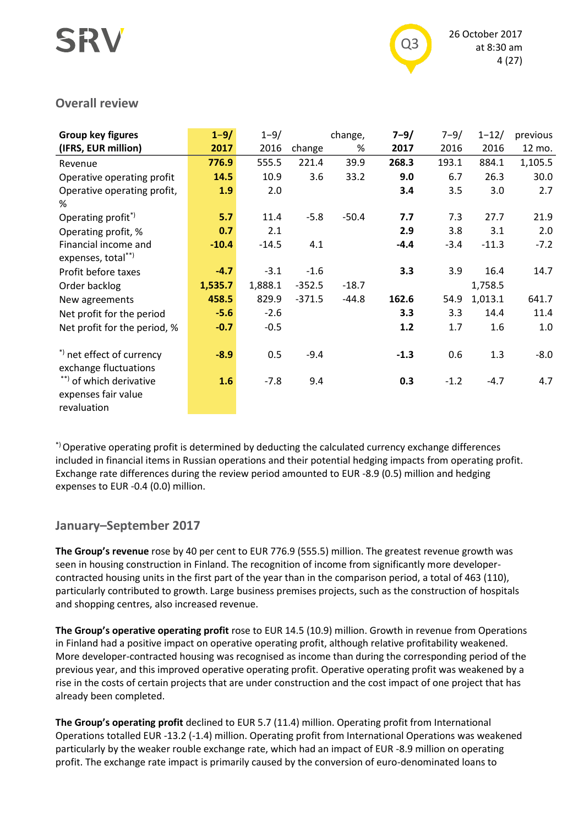

## **Overall review**

| Group key figures            | $1 - 9/$ | $1 - 9/$ |          | change, | $7 - 9/$ | $7 - 9/$ | $1 - 12/$ | previous |
|------------------------------|----------|----------|----------|---------|----------|----------|-----------|----------|
| (IFRS, EUR million)          | 2017     | 2016     | change   | %       | 2017     | 2016     | 2016      | 12 mo.   |
| Revenue                      | 776.9    | 555.5    | 221.4    | 39.9    | 268.3    | 193.1    | 884.1     | 1,105.5  |
| Operative operating profit   | 14.5     | 10.9     | 3.6      | 33.2    | 9.0      | 6.7      | 26.3      | 30.0     |
| Operative operating profit,  | 1.9      | 2.0      |          |         | 3.4      | 3.5      | 3.0       | 2.7      |
| %                            |          |          |          |         |          |          |           |          |
| Operating profit*)           | 5.7      | 11.4     | $-5.8$   | $-50.4$ | 7.7      | 7.3      | 27.7      | 21.9     |
| Operating profit, %          | 0.7      | 2.1      |          |         | 2.9      | 3.8      | 3.1       | 2.0      |
| Financial income and         | $-10.4$  | $-14.5$  | 4.1      |         | $-4.4$   | $-3.4$   | $-11.3$   | $-7.2$   |
| expenses, total**)           |          |          |          |         |          |          |           |          |
| Profit before taxes          | $-4.7$   | $-3.1$   | $-1.6$   |         | 3.3      | 3.9      | 16.4      | 14.7     |
| Order backlog                | 1,535.7  | 1,888.1  | $-352.5$ | $-18.7$ |          |          | 1,758.5   |          |
| New agreements               | 458.5    | 829.9    | $-371.5$ | $-44.8$ | 162.6    | 54.9     | 1,013.1   | 641.7    |
| Net profit for the period    | $-5.6$   | $-2.6$   |          |         | 3.3      | 3.3      | 14.4      | 11.4     |
| Net profit for the period, % | $-0.7$   | $-0.5$   |          |         | 1.2      | 1.7      | 1.6       | 1.0      |
|                              |          |          |          |         |          |          |           |          |
| *) net effect of currency    | $-8.9$   | 0.5      | $-9.4$   |         | $-1.3$   | 0.6      | 1.3       | $-8.0$   |
| exchange fluctuations        |          |          |          |         |          |          |           |          |
| **) of which derivative      | 1.6      | $-7.8$   | 9.4      |         | 0.3      | $-1.2$   | $-4.7$    | 4.7      |
| expenses fair value          |          |          |          |         |          |          |           |          |
| revaluation                  |          |          |          |         |          |          |           |          |

\*) Operative operating profit is determined by deducting the calculated currency exchange differences included in financial items in Russian operations and their potential hedging impacts from operating profit. Exchange rate differences during the review period amounted to EUR -8.9 (0.5) million and hedging expenses to EUR -0.4 (0.0) million.

# **January–September 2017**

**The Group's revenue** rose by 40 per cent to EUR 776.9 (555.5) million. The greatest revenue growth was seen in housing construction in Finland. The recognition of income from significantly more developercontracted housing units in the first part of the year than in the comparison period, a total of 463 (110), particularly contributed to growth. Large business premises projects, such as the construction of hospitals and shopping centres, also increased revenue.

**The Group's operative operating profit** rose to EUR 14.5 (10.9) million. Growth in revenue from Operations in Finland had a positive impact on operative operating profit, although relative profitability weakened. More developer-contracted housing was recognised as income than during the corresponding period of the previous year, and this improved operative operating profit. Operative operating profit was weakened by a rise in the costs of certain projects that are under construction and the cost impact of one project that has already been completed.

**The Group's operating profit** declined to EUR 5.7 (11.4) million. Operating profit from International Operations totalled EUR -13.2 (-1.4) million. Operating profit from International Operations was weakened particularly by the weaker rouble exchange rate, which had an impact of EUR -8.9 million on operating profit. The exchange rate impact is primarily caused by the conversion of euro-denominated loans to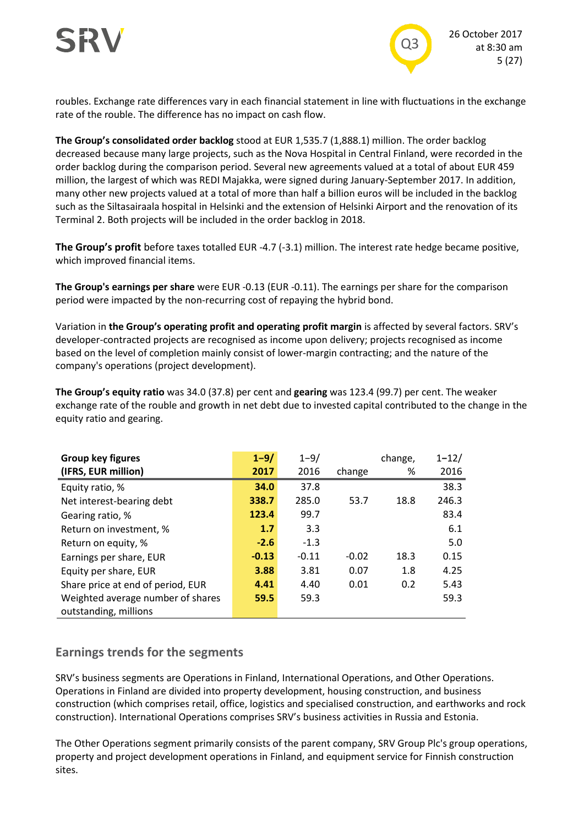

roubles. Exchange rate differences vary in each financial statement in line with fluctuations in the exchange rate of the rouble. The difference has no impact on cash flow.

**The Group's consolidated order backlog** stood at EUR 1,535.7 (1,888.1) million. The order backlog decreased because many large projects, such as the Nova Hospital in Central Finland, were recorded in the order backlog during the comparison period. Several new agreements valued at a total of about EUR 459 million, the largest of which was REDI Majakka, were signed during January-September 2017. In addition, many other new projects valued at a total of more than half a billion euros will be included in the backlog such as the Siltasairaala hospital in Helsinki and the extension of Helsinki Airport and the renovation of its Terminal 2. Both projects will be included in the order backlog in 2018.

**The Group's profit** before taxes totalled EUR -4.7 (-3.1) million. The interest rate hedge became positive, which improved financial items.

**The Group's earnings per share** were EUR -0.13 (EUR -0.11). The earnings per share for the comparison period were impacted by the non-recurring cost of repaying the hybrid bond.

Variation in **the Group's operating profit and operating profit margin** is affected by several factors. SRV's developer-contracted projects are recognised as income upon delivery; projects recognised as income based on the level of completion mainly consist of lower-margin contracting; and the nature of the company's operations (project development).

**The Group's equity ratio** was 34.0 (37.8) per cent and **gearing** was 123.4 (99.7) per cent. The weaker exchange rate of the rouble and growth in net debt due to invested capital contributed to the change in the equity ratio and gearing.

| Group key figures                 | $1 - 9/$ | $1 - 9/$ |         | change, | $1 - 12/$ |
|-----------------------------------|----------|----------|---------|---------|-----------|
| (IFRS, EUR million)               | 2017     | 2016     | change  | %       | 2016      |
| Equity ratio, %                   | 34.0     | 37.8     |         |         | 38.3      |
| Net interest-bearing debt         | 338.7    | 285.0    | 53.7    | 18.8    | 246.3     |
| Gearing ratio, %                  | 123.4    | 99.7     |         |         | 83.4      |
| Return on investment, %           | 1.7      | 3.3      |         |         | 6.1       |
| Return on equity, %               | $-2.6$   | $-1.3$   |         |         | 5.0       |
| Earnings per share, EUR           | $-0.13$  | $-0.11$  | $-0.02$ | 18.3    | 0.15      |
| Equity per share, EUR             | 3.88     | 3.81     | 0.07    | 1.8     | 4.25      |
| Share price at end of period, EUR | 4.41     | 4.40     | 0.01    | 0.2     | 5.43      |
| Weighted average number of shares | 59.5     | 59.3     |         |         | 59.3      |
| outstanding, millions             |          |          |         |         |           |

# **Earnings trends for the segments**

SRV's business segments are Operations in Finland, International Operations, and Other Operations. Operations in Finland are divided into property development, housing construction, and business construction (which comprises retail, office, logistics and specialised construction, and earthworks and rock construction). International Operations comprises SRV's business activities in Russia and Estonia.

The Other Operations segment primarily consists of the parent company, SRV Group Plc's group operations, property and project development operations in Finland, and equipment service for Finnish construction sites.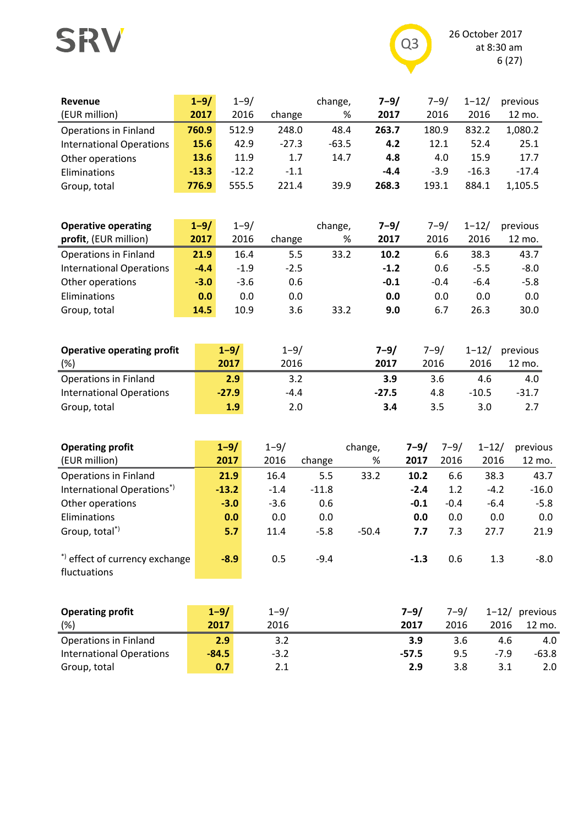# SRV



| Revenue                         | $1 - 9/$ | $1 - 9/$ |         | change, | $7 - 9/$ | $7 - 9/$ | $1 - 12/$ | previous |
|---------------------------------|----------|----------|---------|---------|----------|----------|-----------|----------|
| (EUR million)                   | 2017     | 2016     | change  | %       | 2017     | 2016     | 2016      | 12 mo.   |
| <b>Operations in Finland</b>    | 760.9    | 512.9    | 248.0   | 48.4    | 263.7    | 180.9    | 832.2     | 1,080.2  |
| <b>International Operations</b> | 15.6     | 42.9     | $-27.3$ | $-63.5$ | 4.2      | 12.1     | 52.4      | 25.1     |
| Other operations                | 13.6     | 11.9     | 1.7     | 14.7    | 4.8      | 4.0      | 15.9      | 17.7     |
| Eliminations                    | $-13.3$  | $-12.2$  | $-1.1$  |         | $-4.4$   | $-3.9$   | $-16.3$   | $-17.4$  |
| Group, total                    | 776.9    | 555.5    | 221.4   | 39.9    | 268.3    | 193.1    | 884.1     | 1,105.5  |

| <b>Operative operating</b>      | $1 - 9/$ | $1 - 9/$ |        | change, | $7 - 9/$ | $7 - 9/$ | $1 - 12/$ | previous |
|---------------------------------|----------|----------|--------|---------|----------|----------|-----------|----------|
| profit, (EUR million)           | 2017     | 2016     | change | %       | 2017     | 2016     | 2016      | 12 mo.   |
| <b>Operations in Finland</b>    | 21.9     | 16.4     | 5.5    | 33.2    | 10.2     | 6.6      | 38.3      | 43.7     |
| <b>International Operations</b> | $-4.4$   | $-1.9$   | $-2.5$ |         | $-1.2$   | 0.6      | $-5.5$    | $-8.0$   |
| Other operations                | $-3.0$   | $-3.6$   | 0.6    |         | $-0.1$   | $-0.4$   | $-6.4$    | $-5.8$   |
| Eliminations                    | 0.0      | 0.0      | 0.0    |         | 0.0      | 0.0      | 0.0       | 0.0      |
| Group, total                    | 14.5     | 10.9     | 3.6    | 33.2    | 9.0      | 6.7      | 26.3      | 30.0     |

| <b>Operative operating profit</b><br>(%) | $1 - 9/$<br>2017 | $1 - 9/$<br>2016 | $7 - 9/$<br>2017 | $7 - 9/$<br>2016 | $1 - 12/$<br>2016 | previous<br>12 mo. |
|------------------------------------------|------------------|------------------|------------------|------------------|-------------------|--------------------|
| <b>Operations in Finland</b>             | 2.9              | 3.2              | 3.9              | 3.6              | 4.6               | 4.0                |
| <b>International Operations</b>          | $-27.9$          | $-4.4$           | $-27.5$          | 4.8              | $-10.5$           | $-31.7$            |
| Group, total                             | 1.9              | 2.0              | 3.4              | 3.5              | 3.0               |                    |

| $1 - 9/$ | $1 - 9/$                       |         | change, | $7 - 9/$ | 7–9/   | $1 - 12/$ | previous |
|----------|--------------------------------|---------|---------|----------|--------|-----------|----------|
| 2017     | 2016                           | change  | %       | 2017     | 2016   | 2016      | 12 mo.   |
| 21.9     | 16.4                           | 5.5     | 33.2    | 10.2     | 6.6    | 38.3      | 43.7     |
| $-13.2$  | $-1.4$                         | $-11.8$ |         | $-2.4$   | 1.2    | $-4.2$    | $-16.0$  |
| $-3.0$   | $-3.6$                         | 0.6     |         | $-0.1$   | $-0.4$ | $-6.4$    | $-5.8$   |
| 0.0      | 0.0                            | 0.0     |         | 0.0      | 0.0    | 0.0       | 0.0      |
| 5.7      | 11.4                           | $-5.8$  | $-50.4$ | 7.7      | 7.3    | 27.7      | 21.9     |
| $-8.9$   | 0.5                            | $-9.4$  |         | $-1.3$   | 0.6    | 1.3       | $-8.0$   |
|          | *) effect of currency exchange |         |         |          |        |           |          |

| <b>Operating profit</b>         | $1 - 9/$ | $1 - 9/$ | $7 - 9/$ | $7 - 9/$ |      | $1-12/$ previous |
|---------------------------------|----------|----------|----------|----------|------|------------------|
| (%)                             | 2017     | 2016     | 2017     | 2016     | 2016 | 12 mo.           |
| <b>Operations in Finland</b>    | 2.9      | 3.2      | 3.9      | 3.6      | 4.6  | 4.0              |
| <b>International Operations</b> | $-84.5$  | $-3.2$   | $-57.5$  | 9.5      | -79  | -63.8            |
| Group, total                    | 0.7      |          | 2.9      | 3.8      | 3.1  |                  |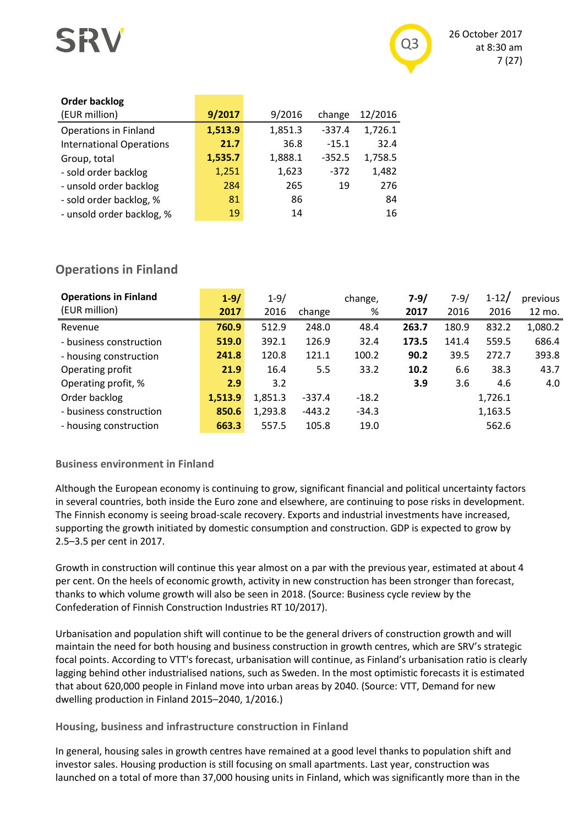

| <b>Order backlog</b>            |         |         |          |         |
|---------------------------------|---------|---------|----------|---------|
| (EUR million)                   | 9/2017  | 9/2016  | change   | 12/2016 |
| <b>Operations in Finland</b>    | 1,513.9 | 1,851.3 | $-337.4$ | 1,726.1 |
| <b>International Operations</b> | 21.7    | 36.8    | $-15.1$  | 32.4    |
| Group, total                    | 1,535.7 | 1,888.1 | $-352.5$ | 1,758.5 |
| - sold order backlog            | 1,251   | 1,623   | $-372$   | 1,482   |
| - unsold order backlog          | 284     | 265     | 19       | 276     |
| - sold order backlog, %         | 81      | 86      |          | 84      |
| - unsold order backlog, %       | 19      | 14      |          | 16      |
|                                 |         |         |          |         |

# **Operations in Finland**

| <b>Operations in Finland</b> | $1 - 9/$ | $1 - 9/$ |          | change, | $7 - 9/$ | $7 - 9/$ | $1 - 12/$ | previous |
|------------------------------|----------|----------|----------|---------|----------|----------|-----------|----------|
| (EUR million)                | 2017     | 2016     | change   | %       | 2017     | 2016     | 2016      | 12 mo.   |
| Revenue                      | 760.9    | 512.9    | 248.0    | 48.4    | 263.7    | 180.9    | 832.2     | 1,080.2  |
| - business construction      | 519.0    | 392.1    | 126.9    | 32.4    | 173.5    | 141.4    | 559.5     | 686.4    |
| - housing construction       | 241.8    | 120.8    | 121.1    | 100.2   | 90.2     | 39.5     | 272.7     | 393.8    |
| Operating profit             | 21.9     | 16.4     | 5.5      | 33.2    | 10.2     | 6.6      | 38.3      | 43.7     |
| Operating profit, %          | 2.9      | 3.2      |          |         | 3.9      | 3.6      | 4.6       | 4.0      |
| Order backlog                | 1,513.9  | 1,851.3  | $-337.4$ | $-18.2$ |          |          | 1,726.1   |          |
| - business construction      | 850.6    | 1,293.8  | $-443.2$ | $-34.3$ |          |          | 1,163.5   |          |
| - housing construction       | 663.3    | 557.5    | 105.8    | 19.0    |          |          | 562.6     |          |

### **Business environment in Finland**

Although the European economy is continuing to grow, significant financial and political uncertainty factors in several countries, both inside the Euro zone and elsewhere, are continuing to pose risks in development. The Finnish economy is seeing broad-scale recovery. Exports and industrial investments have increased, supporting the growth initiated by domestic consumption and construction. GDP is expected to grow by 2.5–3.5 per cent in 2017.

Growth in construction will continue this year almost on a par with the previous year, estimated at about 4 per cent. On the heels of economic growth, activity in new construction has been stronger than forecast, thanks to which volume growth will also be seen in 2018. (Source: Business cycle review by the Confederation of Finnish Construction Industries RT 10/2017).

Urbanisation and population shift will continue to be the general drivers of construction growth and will maintain the need for both housing and business construction in growth centres, which are SRV's strategic focal points. According to VTT's forecast, urbanisation will continue, as Finland's urbanisation ratio is clearly lagging behind other industrialised nations, such as Sweden. In the most optimistic forecasts it is estimated that about 620,000 people in Finland move into urban areas by 2040. (Source: VTT, Demand for new dwelling production in Finland 2015–2040, 1/2016.)

### **Housing, business and infrastructure construction in Finland**

In general, housing sales in growth centres have remained at a good level thanks to population shift and investor sales. Housing production is still focusing on small apartments. Last year, construction was launched on a total of more than 37,000 housing units in Finland, which was significantly more than in the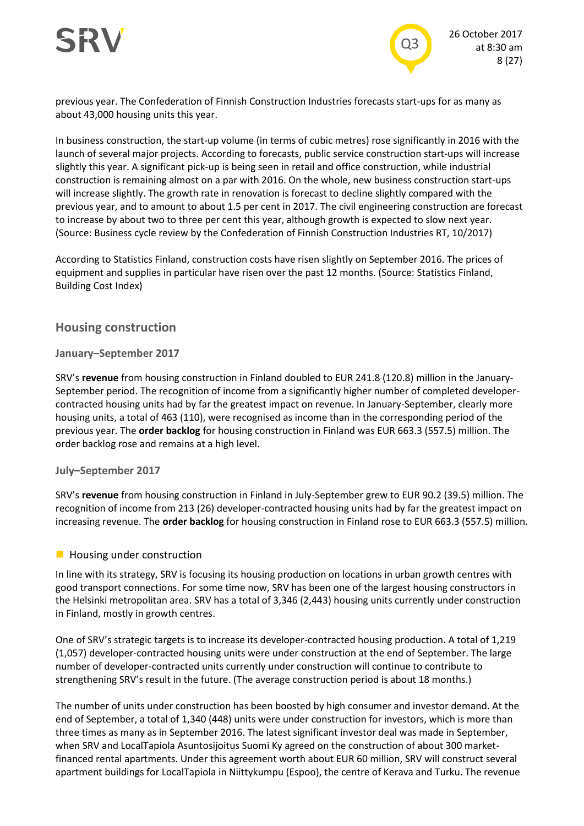



previous year. The Confederation of Finnish Construction Industries forecasts start-ups for as many as about 43,000 housing units this year.

In business construction, the start-up volume (in terms of cubic metres) rose significantly in 2016 with the launch of several major projects. According to forecasts, public service construction start-ups will increase slightly this year. A significant pick-up is being seen in retail and office construction, while industrial construction is remaining almost on a par with 2016. On the whole, new business construction start-ups will increase slightly. The growth rate in renovation is forecast to decline slightly compared with the previous year, and to amount to about 1.5 per cent in 2017. The civil engineering construction are forecast to increase by about two to three per cent this year, although growth is expected to slow next year. (Source: Business cycle review by the Confederation of Finnish Construction Industries RT, 10/2017)

According to Statistics Finland, construction costs have risen slightly on September 2016. The prices of equipment and supplies in particular have risen over the past 12 months. (Source: Statistics Finland, Building Cost Index)

### **Housing construction**

#### **January–September 2017**

SRV's **revenue** from housing construction in Finland doubled to EUR 241.8 (120.8) million in the January-September period. The recognition of income from a significantly higher number of completed developercontracted housing units had by far the greatest impact on revenue. In January-September, clearly more housing units, a total of 463 (110), were recognised as income than in the corresponding period of the previous year. The **order backlog** for housing construction in Finland was EUR 663.3 (557.5) million. The order backlog rose and remains at a high level.

#### **July–September 2017**

SRV's **revenue** from housing construction in Finland in July-September grew to EUR 90.2 (39.5) million. The recognition of income from 213 (26) developer-contracted housing units had by far the greatest impact on increasing revenue. The **order backlog** for housing construction in Finland rose to EUR 663.3 (557.5) million.

#### **Housing under construction**

In line with its strategy, SRV is focusing its housing production on locations in urban growth centres with good transport connections. For some time now, SRV has been one of the largest housing constructors in the Helsinki metropolitan area. SRV has a total of 3,346 (2,443) housing units currently under construction in Finland, mostly in growth centres.

One of SRV's strategic targets is to increase its developer-contracted housing production. A total of 1,219 (1,057) developer-contracted housing units were under construction at the end of September. The large number of developer-contracted units currently under construction will continue to contribute to strengthening SRV's result in the future. (The average construction period is about 18 months.)

The number of units under construction has been boosted by high consumer and investor demand. At the end of September, a total of 1,340 (448) units were under construction for investors, which is more than three times as many as in September 2016. The latest significant investor deal was made in September, when SRV and LocalTapiola Asuntosijoitus Suomi Ky agreed on the construction of about 300 marketfinanced rental apartments. Under this agreement worth about EUR 60 million, SRV will construct several apartment buildings for LocalTapiola in Niittykumpu (Espoo), the centre of Kerava and Turku. The revenue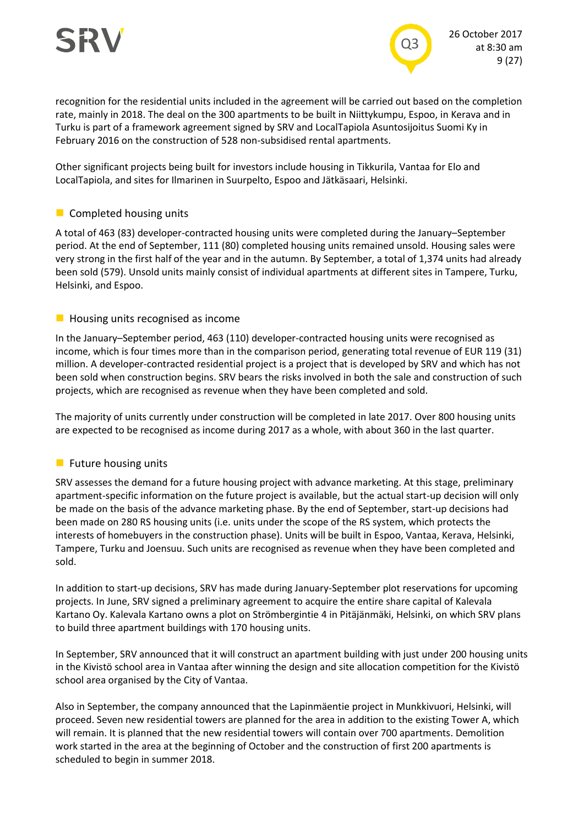

recognition for the residential units included in the agreement will be carried out based on the completion rate, mainly in 2018. The deal on the 300 apartments to be built in Niittykumpu, Espoo, in Kerava and in Turku is part of a framework agreement signed by SRV and LocalTapiola Asuntosijoitus Suomi Ky in February 2016 on the construction of 528 non-subsidised rental apartments.

Other significant projects being built for investors include housing in Tikkurila, Vantaa for Elo and LocalTapiola, and sites for Ilmarinen in Suurpelto, Espoo and Jätkäsaari, Helsinki.

#### **Completed housing units**

A total of 463 (83) developer-contracted housing units were completed during the January–September period. At the end of September, 111 (80) completed housing units remained unsold. Housing sales were very strong in the first half of the year and in the autumn. By September, a total of 1,374 units had already been sold (579). Unsold units mainly consist of individual apartments at different sites in Tampere, Turku, Helsinki, and Espoo.

#### $\blacksquare$  Housing units recognised as income

In the January–September period, 463 (110) developer-contracted housing units were recognised as income, which is four times more than in the comparison period, generating total revenue of EUR 119 (31) million. A developer-contracted residential project is a project that is developed by SRV and which has not been sold when construction begins. SRV bears the risks involved in both the sale and construction of such projects, which are recognised as revenue when they have been completed and sold.

The majority of units currently under construction will be completed in late 2017. Over 800 housing units are expected to be recognised as income during 2017 as a whole, with about 360 in the last quarter.

#### **Future housing units**

SRV assesses the demand for a future housing project with advance marketing. At this stage, preliminary apartment-specific information on the future project is available, but the actual start-up decision will only be made on the basis of the advance marketing phase. By the end of September, start-up decisions had been made on 280 RS housing units (i.e. units under the scope of the RS system, which protects the interests of homebuyers in the construction phase). Units will be built in Espoo, Vantaa, Kerava, Helsinki, Tampere, Turku and Joensuu. Such units are recognised as revenue when they have been completed and sold.

In addition to start-up decisions, SRV has made during January-September plot reservations for upcoming projects. In June, SRV signed a preliminary agreement to acquire the entire share capital of Kalevala Kartano Oy. Kalevala Kartano owns a plot on Strömbergintie 4 in Pitäjänmäki, Helsinki, on which SRV plans to build three apartment buildings with 170 housing units.

In September, SRV announced that it will construct an apartment building with just under 200 housing units in the Kivistö school area in Vantaa after winning the design and site allocation competition for the Kivistö school area organised by the City of Vantaa.

Also in September, the company announced that the Lapinmäentie project in Munkkivuori, Helsinki, will proceed. Seven new residential towers are planned for the area in addition to the existing Tower A, which will remain. It is planned that the new residential towers will contain over 700 apartments. Demolition work started in the area at the beginning of October and the construction of first 200 apartments is scheduled to begin in summer 2018.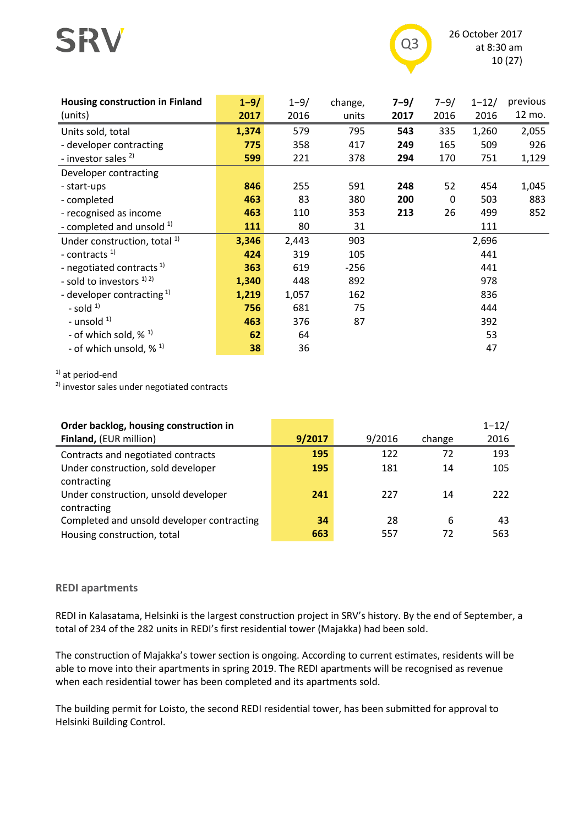



26 October 2017 at 8:30 am 10 (27)

| <b>Housing construction in Finland</b><br>(units) | $1 - 9/$<br>2017 | $1 - 9/$<br>2016 | change,<br>units | $7 - 9/$<br>2017 | $7 - 9/$<br>2016 | $1 - 12/$<br>2016 | previous<br>12 mo. |
|---------------------------------------------------|------------------|------------------|------------------|------------------|------------------|-------------------|--------------------|
| Units sold, total                                 | 1,374            | 579              | 795              | 543              | 335              | 1,260             | 2,055              |
| - developer contracting                           | 775              | 358              | 417              | 249              | 165              | 509               | 926                |
| - investor sales <sup>2)</sup>                    | 599              | 221              | 378              | 294              | 170              | 751               | 1,129              |
| Developer contracting                             |                  |                  |                  |                  |                  |                   |                    |
| - start-ups                                       | 846              | 255              | 591              | 248              | 52               | 454               | 1,045              |
| - completed                                       | 463              | 83               | 380              | 200              | $\mathbf 0$      | 503               | 883                |
| - recognised as income                            | 463              | 110              | 353              | 213              | 26               | 499               | 852                |
| - completed and unsold $1$                        | 111              | 80               | 31               |                  |                  | 111               |                    |
| Under construction, total <sup>1)</sup>           | 3,346            | 2,443            | 903              |                  |                  | 2,696             |                    |
| - contracts $1$                                   | 424              | 319              | 105              |                  |                  | 441               |                    |
| - negotiated contracts <sup>1)</sup>              | 363              | 619              | $-256$           |                  |                  | 441               |                    |
| - sold to investors $^{1/2}$                      | 1,340            | 448              | 892              |                  |                  | 978               |                    |
| - developer contracting $1$ )                     | 1,219            | 1,057            | 162              |                  |                  | 836               |                    |
| - sold $1$                                        | 756              | 681              | 75               |                  |                  | 444               |                    |
| - unsold $1$ )                                    | 463              | 376              | 87               |                  |                  | 392               |                    |
| - of which sold, $\frac{1}{2}$ $\frac{1}{2}$      | 62               | 64               |                  |                  |                  | 53                |                    |
| - of which unsold, $\frac{1}{2}$ 1)               | 38               | 36               |                  |                  |                  | 47                |                    |

<sup>1)</sup> at period-end

2) investor sales under negotiated contracts

| Order backlog, housing construction in     |        |        |        | $1 - 12/$ |
|--------------------------------------------|--------|--------|--------|-----------|
| Finland, (EUR million)                     | 9/2017 | 9/2016 | change | 2016      |
| Contracts and negotiated contracts         | 195    | 122    | 72     | 193       |
| Under construction, sold developer         | 195    | 181    | 14     | 105       |
| contracting                                |        |        |        |           |
| Under construction, unsold developer       | 241    | 227    | 14     | 222       |
| contracting                                |        |        |        |           |
| Completed and unsold developer contracting | 34     | 28     | 6      | 43        |
| Housing construction, total                | 663    | 557    | 72     | 563       |

#### **REDI apartments**

REDI in Kalasatama, Helsinki is the largest construction project in SRV's history. By the end of September, a total of 234 of the 282 units in REDI's first residential tower (Majakka) had been sold.

The construction of Majakka's tower section is ongoing. According to current estimates, residents will be able to move into their apartments in spring 2019. The REDI apartments will be recognised as revenue when each residential tower has been completed and its apartments sold.

The building permit for Loisto, the second REDI residential tower, has been submitted for approval to Helsinki Building Control.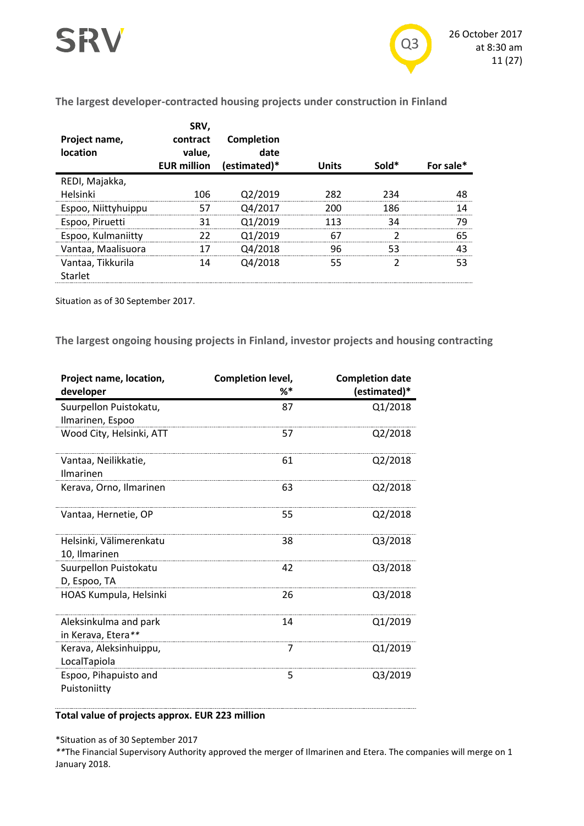

#### **The largest developer-contracted housing projects under construction in Finland**

| Project name,<br>location | SRV,<br>contract<br>value.<br><b>EUR million</b> | Completion<br>date<br>(estimated)* | <b>Units</b> | Sold* | For sale* |
|---------------------------|--------------------------------------------------|------------------------------------|--------------|-------|-----------|
| REDI, Majakka,            |                                                  |                                    |              |       |           |
| Helsinki                  | 106                                              | Q2/2019                            | 282          | 234   | 48        |
| Espoo, Niittyhuippu       | 57                                               | Q4/2017                            | 200          | 186   | 14        |
| Espoo, Piruetti           | 31                                               | 01/2019                            | 113          | 34    | 79        |
| Espoo, Kulmaniitty        | 22                                               | 01/2019                            | 67           |       | 65        |
| Vantaa, Maalisuora        | 17                                               | Q4/2018                            | 96           | 53    | 43        |
| Vantaa, Tikkurila         | 14                                               | Q4/2018                            | 55           |       | 53        |
| Starlet                   |                                                  |                                    |              |       |           |

Situation as of 30 September 2017.

**The largest ongoing housing projects in Finland, investor projects and housing contracting**

| Project name, location,  | Completion level, | <b>Completion date</b> |
|--------------------------|-------------------|------------------------|
| developer                | %*                | (estimated)*           |
| Suurpellon Puistokatu,   | 87                | Q1/2018                |
| Ilmarinen, Espoo         |                   |                        |
| Wood City, Helsinki, ATT | 57                | Q2/2018                |
| Vantaa, Neilikkatie,     | 61                | Q2/2018                |
| <b>Ilmarinen</b>         |                   |                        |
| Kerava, Orno, Ilmarinen  | 63                | Q2/2018                |
| Vantaa, Hernetie, OP     | 55                | Q2/2018                |
| Helsinki, Välimerenkatu  | 38                | Q3/2018                |
| 10, Ilmarinen            |                   |                        |
| Suurpellon Puistokatu    | 42                | Q3/2018                |
| D, Espoo, TA             |                   |                        |
| HOAS Kumpula, Helsinki   | 26                | Q3/2018                |
| Aleksinkulma and park    | 14                | Q1/2019                |
| in Kerava, Etera**       |                   |                        |
| Kerava, Aleksinhuippu,   | 7                 | Q1/2019                |
| LocalTapiola             |                   |                        |
| Espoo, Pihapuisto and    | 5                 | Q3/2019                |
| Puistoniitty             |                   |                        |

#### **Total value of projects approx. EUR 223 million**

\*Situation as of 30 September 2017

*\*\**The Financial Supervisory Authority approved the merger of Ilmarinen and Etera. The companies will merge on 1 January 2018.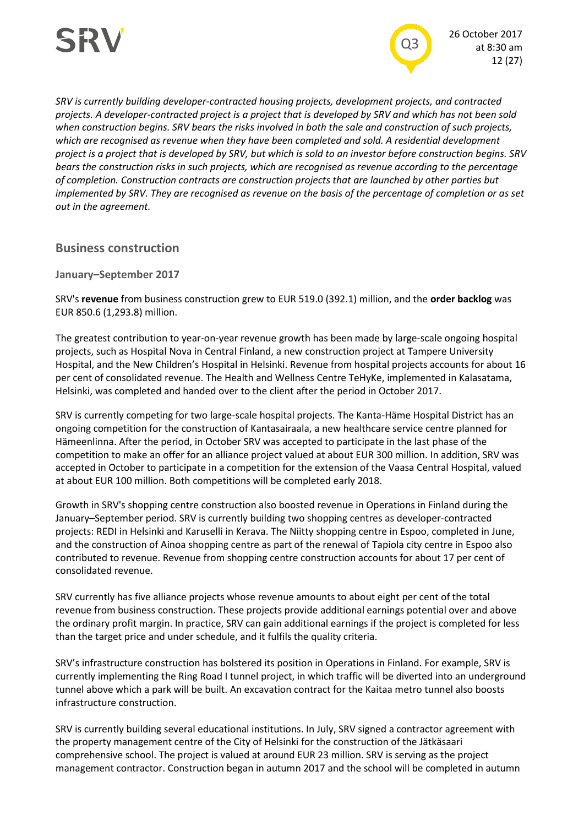

*SRV is currently building developer-contracted housing projects, development projects, and contracted projects. A developer-contracted project is a project that is developed by SRV and which has not been sold when construction begins. SRV bears the risks involved in both the sale and construction of such projects, which are recognised as revenue when they have been completed and sold. A residential development project is a project that is developed by SRV, but which is sold to an investor before construction begins. SRV bears the construction risks in such projects, which are recognised as revenue according to the percentage of completion. Construction contracts are construction projects that are launched by other parties but implemented by SRV. They are recognised as revenue on the basis of the percentage of completion or as set out in the agreement.*

**Business construction**

**January–September 2017**

SRV's **revenue** from business construction grew to EUR 519.0 (392.1) million, and the **order backlog** was EUR 850.6 (1,293.8) million.

The greatest contribution to year-on-year revenue growth has been made by large-scale ongoing hospital projects, such as Hospital Nova in Central Finland, a new construction project at Tampere University Hospital, and the New Children's Hospital in Helsinki. Revenue from hospital projects accounts for about 16 per cent of consolidated revenue. The Health and Wellness Centre TeHyKe, implemented in Kalasatama, Helsinki, was completed and handed over to the client after the period in October 2017.

SRV is currently competing for two large-scale hospital projects. The Kanta-Häme Hospital District has an ongoing competition for the construction of Kantasairaala, a new healthcare service centre planned for Hämeenlinna. After the period, in October SRV was accepted to participate in the last phase of the competition to make an offer for an alliance project valued at about EUR 300 million. In addition, SRV was accepted in October to participate in a competition for the extension of the Vaasa Central Hospital, valued at about EUR 100 million. Both competitions will be completed early 2018.

Growth in SRV's shopping centre construction also boosted revenue in Operations in Finland during the January–September period. SRV is currently building two shopping centres as developer-contracted projects: REDI in Helsinki and Karuselli in Kerava. The Niitty shopping centre in Espoo, completed in June, and the construction of Ainoa shopping centre as part of the renewal of Tapiola city centre in Espoo also contributed to revenue. Revenue from shopping centre construction accounts for about 17 per cent of consolidated revenue.

SRV currently has five alliance projects whose revenue amounts to about eight per cent of the total revenue from business construction. These projects provide additional earnings potential over and above the ordinary profit margin. In practice, SRV can gain additional earnings if the project is completed for less than the target price and under schedule, and it fulfils the quality criteria.

SRV's infrastructure construction has bolstered its position in Operations in Finland. For example, SRV is currently implementing the Ring Road I tunnel project, in which traffic will be diverted into an underground tunnel above which a park will be built. An excavation contract for the Kaitaa metro tunnel also boosts infrastructure construction.

SRV is currently building several educational institutions. In July, SRV signed a contractor agreement with the property management centre of the City of Helsinki for the construction of the Jätkäsaari comprehensive school. The project is valued at around EUR 23 million. SRV is serving as the project management contractor. Construction began in autumn 2017 and the school will be completed in autumn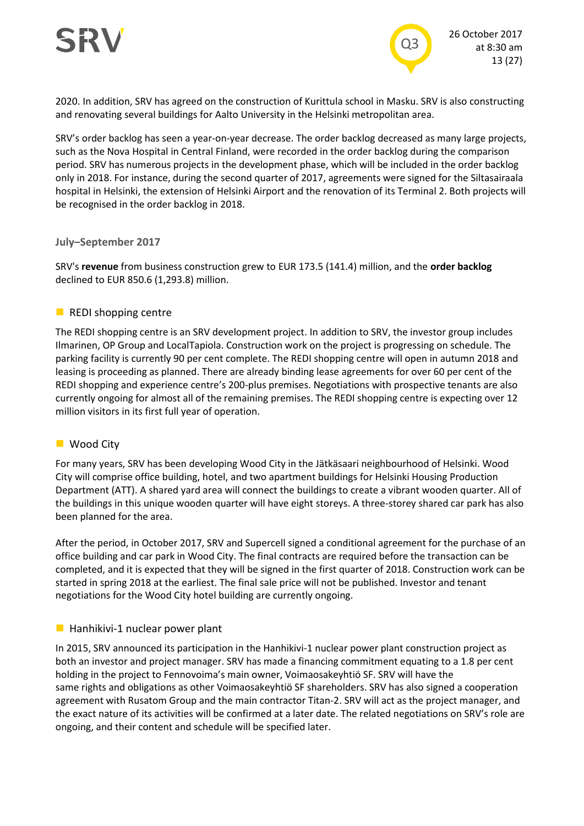



2020. In addition, SRV has agreed on the construction of Kurittula school in Masku. SRV is also constructing and renovating several buildings for Aalto University in the Helsinki metropolitan area.

SRV's order backlog has seen a year-on-year decrease. The order backlog decreased as many large projects, such as the Nova Hospital in Central Finland, were recorded in the order backlog during the comparison period. SRV has numerous projects in the development phase, which will be included in the order backlog only in 2018. For instance, during the second quarter of 2017, agreements were signed for the Siltasairaala hospital in Helsinki, the extension of Helsinki Airport and the renovation of its Terminal 2. Both projects will be recognised in the order backlog in 2018.

#### **July–September 2017**

SRV's **revenue** from business construction grew to EUR 173.5 (141.4) million, and the **order backlog** declined to EUR 850.6 (1,293.8) million.

#### $\blacksquare$  REDI shopping centre

The REDI shopping centre is an SRV development project. In addition to SRV, the investor group includes Ilmarinen, OP Group and LocalTapiola. Construction work on the project is progressing on schedule. The parking facility is currently 90 per cent complete. The REDI shopping centre will open in autumn 2018 and leasing is proceeding as planned. There are already binding lease agreements for over 60 per cent of the REDI shopping and experience centre's 200-plus premises. Negotiations with prospective tenants are also currently ongoing for almost all of the remaining premises. The REDI shopping centre is expecting over 12 million visitors in its first full year of operation.

#### **Wood City**

For many years, SRV has been developing Wood City in the Jätkäsaari neighbourhood of Helsinki. Wood City will comprise office building, hotel, and two apartment buildings for Helsinki Housing Production Department (ATT). A shared yard area will connect the buildings to create a vibrant wooden quarter. All of the buildings in this unique wooden quarter will have eight storeys. A three-storey shared car park has also been planned for the area.

After the period, in October 2017, SRV and Supercell signed a conditional agreement for the purchase of an office building and car park in Wood City. The final contracts are required before the transaction can be completed, and it is expected that they will be signed in the first quarter of 2018. Construction work can be started in spring 2018 at the earliest. The final sale price will not be published. Investor and tenant negotiations for the Wood City hotel building are currently ongoing.

#### $\blacksquare$  Hanhikivi-1 nuclear power plant

In 2015, SRV announced its participation in the Hanhikivi-1 nuclear power plant construction project as both an investor and project manager. SRV has made a financing commitment equating to a 1.8 per cent holding in the project to Fennovoima's main owner, Voimaosakeyhtiö SF. SRV will have the same rights and obligations as other Voimaosakeyhtiö SF shareholders. SRV has also signed a cooperation agreement with Rusatom Group and the main contractor Titan-2. SRV will act as the project manager, and the exact nature of its activities will be confirmed at a later date. The related negotiations on SRV's role are ongoing, and their content and schedule will be specified later.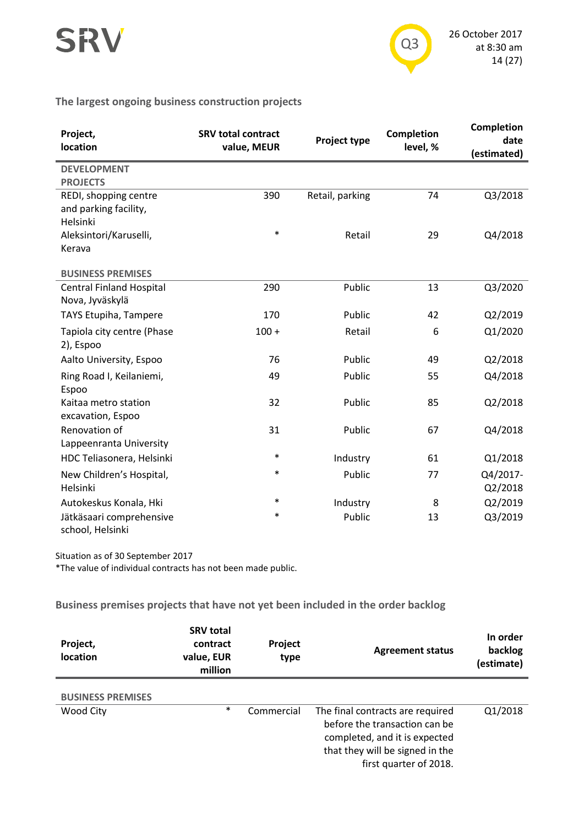



#### **The largest ongoing business construction projects**

| Project,<br>location                                       | <b>SRV total contract</b><br>value, MEUR | Project type    | <b>Completion</b><br>level, % | <b>Completion</b><br>date<br>(estimated) |
|------------------------------------------------------------|------------------------------------------|-----------------|-------------------------------|------------------------------------------|
| <b>DEVELOPMENT</b><br><b>PROJECTS</b>                      |                                          |                 |                               |                                          |
| REDI, shopping centre<br>and parking facility,<br>Helsinki | 390                                      | Retail, parking | 74                            | Q3/2018                                  |
| Aleksintori/Karuselli,<br>Kerava                           | $\ast$                                   | Retail          | 29                            | Q4/2018                                  |
| <b>BUSINESS PREMISES</b>                                   |                                          |                 |                               |                                          |
| <b>Central Finland Hospital</b><br>Nova, Jyväskylä         | 290                                      | Public          | 13                            | Q3/2020                                  |
| TAYS Etupiha, Tampere                                      | 170                                      | Public          | 42                            | Q2/2019                                  |
| Tapiola city centre (Phase<br>2), Espoo                    | $100 +$                                  | Retail          | 6                             | Q1/2020                                  |
| Aalto University, Espoo                                    | 76                                       | Public          | 49                            | Q2/2018                                  |
| Ring Road I, Keilaniemi,<br>Espoo                          | 49                                       | Public          | 55                            | Q4/2018                                  |
| Kaitaa metro station<br>excavation, Espoo                  | 32                                       | Public          | 85                            | Q2/2018                                  |
| Renovation of<br>Lappeenranta University                   | 31                                       | Public          | 67                            | Q4/2018                                  |
| HDC Teliasonera, Helsinki                                  | $\ast$                                   | Industry        | 61                            | Q1/2018                                  |
| New Children's Hospital,<br>Helsinki                       | $\ast$                                   | Public          | 77                            | Q4/2017-<br>Q2/2018                      |
| Autokeskus Konala, Hki                                     | $\ast$                                   | Industry        | 8                             | Q2/2019                                  |
| Jätkäsaari comprehensive<br>school, Helsinki               | $\ast$                                   | Public          | 13                            | Q3/2019                                  |

Situation as of 30 September 2017

\*The value of individual contracts has not been made public.

**Business premises projects that have not yet been included in the order backlog**

| Project,<br><b>location</b> | <b>SRV total</b><br>contract<br>value, EUR<br>million | Project<br>type | <b>Agreement status</b>          | In order<br>backlog<br>(estimate) |
|-----------------------------|-------------------------------------------------------|-----------------|----------------------------------|-----------------------------------|
|                             |                                                       |                 |                                  |                                   |
| <b>BUSINESS PREMISES</b>    |                                                       |                 |                                  |                                   |
| Wood City                   | $\ast$                                                | Commercial      | The final contracts are required | Q1/2018                           |
|                             |                                                       |                 | before the transaction can be    |                                   |
|                             |                                                       |                 | completed, and it is expected    |                                   |
|                             |                                                       |                 | that they will be signed in the  |                                   |
|                             |                                                       |                 | first quarter of 2018.           |                                   |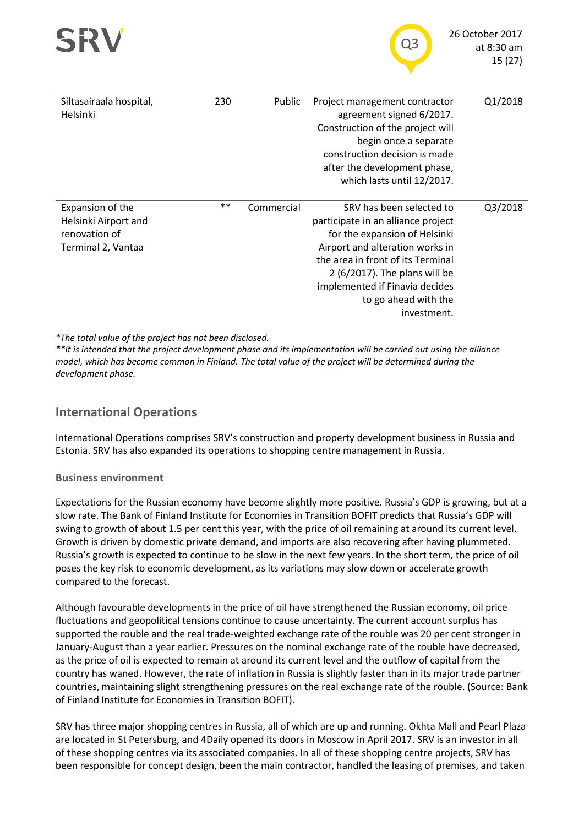



| Siltasairaala hospital,<br>Helsinki                                             | 230        | Public     | Project management contractor<br>agreement signed 6/2017.<br>Construction of the project will<br>begin once a separate<br>construction decision is made<br>after the development phase,<br>which lasts until 12/2017.                                                             | Q1/2018 |
|---------------------------------------------------------------------------------|------------|------------|-----------------------------------------------------------------------------------------------------------------------------------------------------------------------------------------------------------------------------------------------------------------------------------|---------|
| Expansion of the<br>Helsinki Airport and<br>renovation of<br>Terminal 2, Vantaa | $\ast\ast$ | Commercial | SRV has been selected to<br>participate in an alliance project<br>for the expansion of Helsinki<br>Airport and alteration works in<br>the area in front of its Terminal<br>2 (6/2017). The plans will be<br>implemented if Finavia decides<br>to go ahead with the<br>investment. | Q3/2018 |

*\*The total value of the project has not been disclosed.*

*\*\*It is intended that the project development phase and its implementation will be carried out using the alliance model, which has become common in Finland. The total value of the project will be determined during the development phase.*

# **International Operations**

International Operations comprises SRV's construction and property development business in Russia and Estonia. SRV has also expanded its operations to shopping centre management in Russia.

#### **Business environment**

Expectations for the Russian economy have become slightly more positive. Russia's GDP is growing, but at a slow rate. The Bank of Finland Institute for Economies in Transition BOFIT predicts that Russia's GDP will swing to growth of about 1.5 per cent this year, with the price of oil remaining at around its current level. Growth is driven by domestic private demand, and imports are also recovering after having plummeted. Russia's growth is expected to continue to be slow in the next few years. In the short term, the price of oil poses the key risk to economic development, as its variations may slow down or accelerate growth compared to the forecast.

Although favourable developments in the price of oil have strengthened the Russian economy, oil price fluctuations and geopolitical tensions continue to cause uncertainty. The current account surplus has supported the rouble and the real trade-weighted exchange rate of the rouble was 20 per cent stronger in January-August than a year earlier. Pressures on the nominal exchange rate of the rouble have decreased, as the price of oil is expected to remain at around its current level and the outflow of capital from the country has waned. However, the rate of inflation in Russia is slightly faster than in its major trade partner countries, maintaining slight strengthening pressures on the real exchange rate of the rouble. (Source: Bank of Finland Institute for Economies in Transition BOFIT).

SRV has three major shopping centres in Russia, all of which are up and running. Okhta Mall and Pearl Plaza are located in St Petersburg, and 4Daily opened its doors in Moscow in April 2017. SRV is an investor in all of these shopping centres via its associated companies. In all of these shopping centre projects, SRV has been responsible for concept design, been the main contractor, handled the leasing of premises, and taken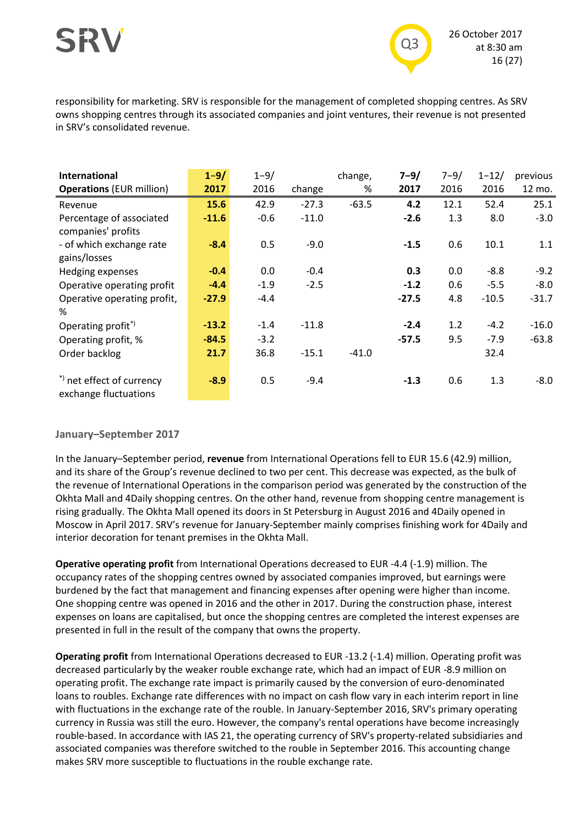

responsibility for marketing. SRV is responsible for the management of completed shopping centres. As SRV owns shopping centres through its associated companies and joint ventures, their revenue is not presented in SRV's consolidated revenue.

| International                   | $1 - 9/$ | $1 - 9/$ |         | change, | $7 - 9/$ | $7 - 9/$ | $1 - 12/$ | previous |
|---------------------------------|----------|----------|---------|---------|----------|----------|-----------|----------|
| <b>Operations (EUR million)</b> | 2017     | 2016     | change  | %       | 2017     | 2016     | 2016      | 12 mo.   |
| Revenue                         | 15.6     | 42.9     | $-27.3$ | $-63.5$ | 4.2      | 12.1     | 52.4      | 25.1     |
| Percentage of associated        | $-11.6$  | $-0.6$   | $-11.0$ |         | $-2.6$   | 1.3      | 8.0       | $-3.0$   |
| companies' profits              |          |          |         |         |          |          |           |          |
| - of which exchange rate        | $-8.4$   | 0.5      | $-9.0$  |         | $-1.5$   | 0.6      | 10.1      | 1.1      |
| gains/losses                    |          |          |         |         |          |          |           |          |
| Hedging expenses                | $-0.4$   | 0.0      | $-0.4$  |         | 0.3      | 0.0      | $-8.8$    | $-9.2$   |
| Operative operating profit      | $-4.4$   | $-1.9$   | $-2.5$  |         | $-1.2$   | 0.6      | $-5.5$    | $-8.0$   |
| Operative operating profit,     | $-27.9$  | $-4.4$   |         |         | $-27.5$  | 4.8      | $-10.5$   | $-31.7$  |
| ℅                               |          |          |         |         |          |          |           |          |
| Operating profit <sup>*</sup>   | $-13.2$  | $-1.4$   | $-11.8$ |         | $-2.4$   | 1.2      | $-4.2$    | $-16.0$  |
| Operating profit, %             | $-84.5$  | $-3.2$   |         |         | $-57.5$  | 9.5      | $-7.9$    | $-63.8$  |
| Order backlog                   | 21.7     | 36.8     | $-15.1$ | $-41.0$ |          |          | 32.4      |          |
|                                 |          |          |         |         |          |          |           |          |
| *) net effect of currency       | $-8.9$   | 0.5      | $-9.4$  |         | $-1.3$   | 0.6      | 1.3       | $-8.0$   |
| exchange fluctuations           |          |          |         |         |          |          |           |          |

#### **January–September 2017**

In the January–September period, **revenue** from International Operations fell to EUR 15.6 (42.9) million, and its share of the Group's revenue declined to two per cent. This decrease was expected, as the bulk of the revenue of International Operations in the comparison period was generated by the construction of the Okhta Mall and 4Daily shopping centres. On the other hand, revenue from shopping centre management is rising gradually. The Okhta Mall opened its doors in St Petersburg in August 2016 and 4Daily opened in Moscow in April 2017. SRV's revenue for January-September mainly comprises finishing work for 4Daily and interior decoration for tenant premises in the Okhta Mall.

**Operative operating profit** from International Operations decreased to EUR -4.4 (-1.9) million. The occupancy rates of the shopping centres owned by associated companies improved, but earnings were burdened by the fact that management and financing expenses after opening were higher than income. One shopping centre was opened in 2016 and the other in 2017. During the construction phase, interest expenses on loans are capitalised, but once the shopping centres are completed the interest expenses are presented in full in the result of the company that owns the property.

**Operating profit** from International Operations decreased to EUR -13.2 (-1.4) million. Operating profit was decreased particularly by the weaker rouble exchange rate, which had an impact of EUR -8.9 million on operating profit. The exchange rate impact is primarily caused by the conversion of euro-denominated loans to roubles. Exchange rate differences with no impact on cash flow vary in each interim report in line with fluctuations in the exchange rate of the rouble. In January-September 2016, SRV's primary operating currency in Russia was still the euro. However, the company's rental operations have become increasingly rouble-based. In accordance with IAS 21, the operating currency of SRV's property-related subsidiaries and associated companies was therefore switched to the rouble in September 2016. This accounting change makes SRV more susceptible to fluctuations in the rouble exchange rate.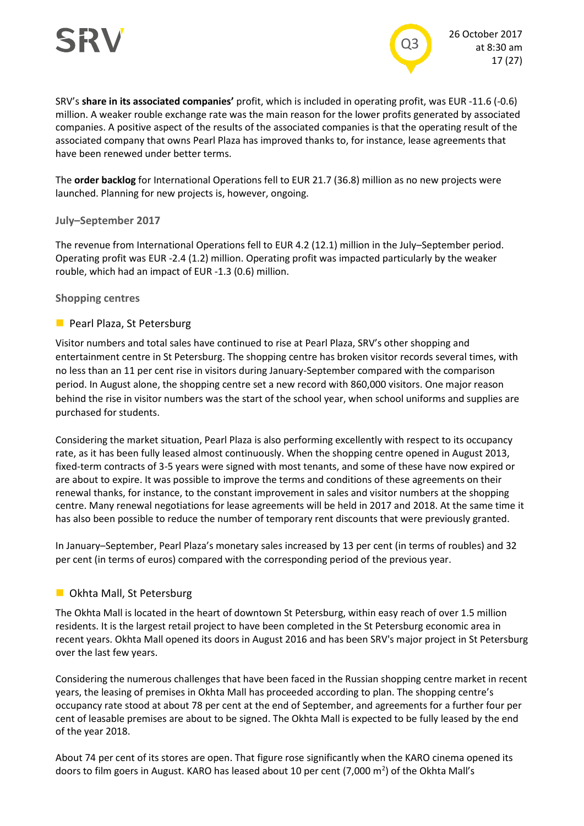

SRV's **share in its associated companies'** profit, which is included in operating profit, was EUR -11.6 (-0.6) million. A weaker rouble exchange rate was the main reason for the lower profits generated by associated companies. A positive aspect of the results of the associated companies is that the operating result of the associated company that owns Pearl Plaza has improved thanks to, for instance, lease agreements that have been renewed under better terms.

The **order backlog** for International Operations fell to EUR 21.7 (36.8) million as no new projects were launched. Planning for new projects is, however, ongoing.

#### **July–September 2017**

The revenue from International Operations fell to EUR 4.2 (12.1) million in the July–September period. Operating profit was EUR -2.4 (1.2) million. Operating profit was impacted particularly by the weaker rouble, which had an impact of EUR -1.3 (0.6) million.

#### **Shopping centres**

#### **Pearl Plaza, St Petersburg**

Visitor numbers and total sales have continued to rise at Pearl Plaza, SRV's other shopping and entertainment centre in St Petersburg. The shopping centre has broken visitor records several times, with no less than an 11 per cent rise in visitors during January-September compared with the comparison period. In August alone, the shopping centre set a new record with 860,000 visitors. One major reason behind the rise in visitor numbers was the start of the school year, when school uniforms and supplies are purchased for students.

Considering the market situation, Pearl Plaza is also performing excellently with respect to its occupancy rate, as it has been fully leased almost continuously. When the shopping centre opened in August 2013, fixed-term contracts of 3-5 years were signed with most tenants, and some of these have now expired or are about to expire. It was possible to improve the terms and conditions of these agreements on their renewal thanks, for instance, to the constant improvement in sales and visitor numbers at the shopping centre. Many renewal negotiations for lease agreements will be held in 2017 and 2018. At the same time it has also been possible to reduce the number of temporary rent discounts that were previously granted.

In January–September, Pearl Plaza's monetary sales increased by 13 per cent (in terms of roubles) and 32 per cent (in terms of euros) compared with the corresponding period of the previous year.

#### **D** Okhta Mall, St Petersburg

The Okhta Mall is located in the heart of downtown St Petersburg, within easy reach of over 1.5 million residents. It is the largest retail project to have been completed in the St Petersburg economic area in recent years. Okhta Mall opened its doors in August 2016 and has been SRV's major project in St Petersburg over the last few years.

Considering the numerous challenges that have been faced in the Russian shopping centre market in recent years, the leasing of premises in Okhta Mall has proceeded according to plan. The shopping centre's occupancy rate stood at about 78 per cent at the end of September, and agreements for a further four per cent of leasable premises are about to be signed. The Okhta Mall is expected to be fully leased by the end of the year 2018.

About 74 per cent of its stores are open. That figure rose significantly when the KARO cinema opened its doors to film goers in August. KARO has leased about 10 per cent (7,000 m<sup>2</sup>) of the Okhta Mall's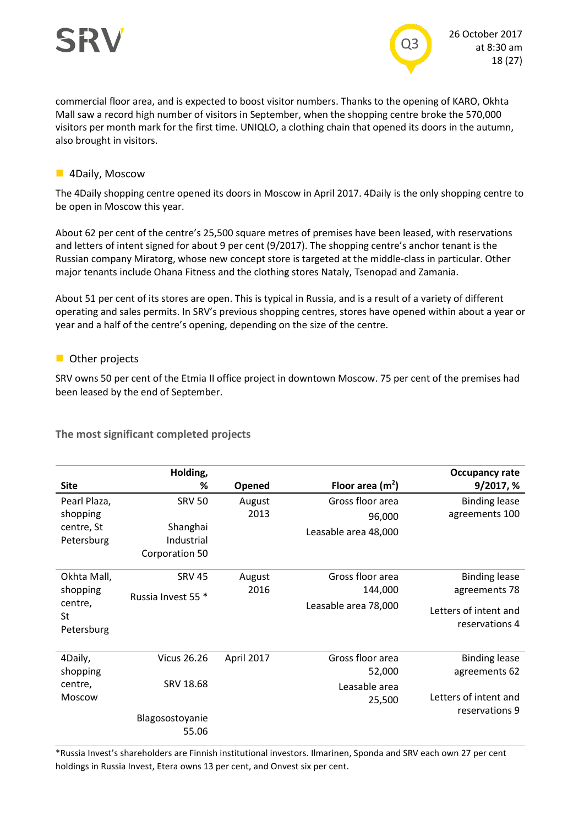

commercial floor area, and is expected to boost visitor numbers. Thanks to the opening of KARO, Okhta Mall saw a record high number of visitors in September, when the shopping centre broke the 570,000 visitors per month mark for the first time. UNIQLO, a clothing chain that opened its doors in the autumn, also brought in visitors.

#### **4Daily, Moscow**

The 4Daily shopping centre opened its doors in Moscow in April 2017. 4Daily is the only shopping centre to be open in Moscow this year.

About 62 per cent of the centre's 25,500 square metres of premises have been leased, with reservations and letters of intent signed for about 9 per cent (9/2017). The shopping centre's anchor tenant is the Russian company Miratorg, whose new concept store is targeted at the middle-class in particular. Other major tenants include Ohana Fitness and the clothing stores Nataly, Tsenopad and Zamania.

About 51 per cent of its stores are open. This is typical in Russia, and is a result of a variety of different operating and sales permits. In SRV's previous shopping centres, stores have opened within about a year or year and a half of the centre's opening, depending on the size of the centre.

#### **Other projects**

SRV owns 50 per cent of the Etmia II office project in downtown Moscow. 75 per cent of the premises had been leased by the end of September.

**The most significant completed projects**

|               | Holding,               |            |                      | <b>Occupancy rate</b> |
|---------------|------------------------|------------|----------------------|-----------------------|
| <b>Site</b>   | %                      | Opened     | Floor area $(m2)$    | 9/2017, %             |
| Pearl Plaza,  | <b>SRV 50</b>          | August     | Gross floor area     | <b>Binding lease</b>  |
| shopping      |                        | 2013       | 96,000               | agreements 100        |
| centre, St    | Shanghai               |            | Leasable area 48,000 |                       |
| Petersburg    | Industrial             |            |                      |                       |
|               | Corporation 50         |            |                      |                       |
| Okhta Mall,   | <b>SRV 45</b>          | August     | Gross floor area     | <b>Binding lease</b>  |
| shopping      | Russia Invest 55 *     | 2016       | 144,000              | agreements 78         |
| centre,       |                        |            | Leasable area 78,000 | Letters of intent and |
| St            |                        |            |                      | reservations 4        |
| Petersburg    |                        |            |                      |                       |
| 4Daily,       | <b>Vicus 26.26</b>     | April 2017 | Gross floor area     | <b>Binding lease</b>  |
| shopping      |                        |            | 52,000               | agreements 62         |
| centre,       | SRV 18.68              |            | Leasable area        |                       |
| <b>Moscow</b> |                        |            |                      | Letters of intent and |
|               |                        |            | 25,500               | reservations 9        |
|               | <b>Blagosostoyanie</b> |            |                      |                       |
|               | 55.06                  |            |                      |                       |

\*Russia Invest's shareholders are Finnish institutional investors. Ilmarinen, Sponda and SRV each own 27 per cent holdings in Russia Invest, Etera owns 13 per cent, and Onvest six per cent.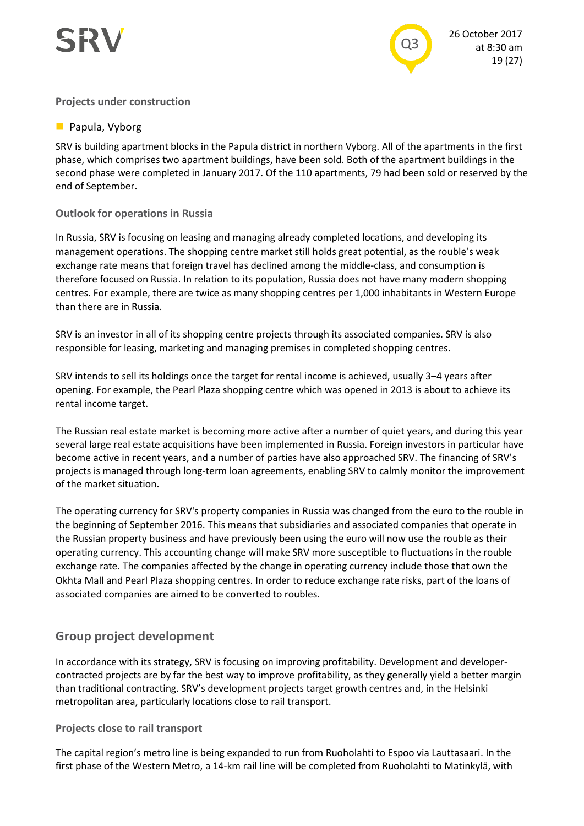



#### **Projects under construction**

#### **Papula, Vyborg**

SRV is building apartment blocks in the Papula district in northern Vyborg. All of the apartments in the first phase, which comprises two apartment buildings, have been sold. Both of the apartment buildings in the second phase were completed in January 2017. Of the 110 apartments, 79 had been sold or reserved by the end of September.

#### **Outlook for operations in Russia**

In Russia, SRV is focusing on leasing and managing already completed locations, and developing its management operations. The shopping centre market still holds great potential, as the rouble's weak exchange rate means that foreign travel has declined among the middle-class, and consumption is therefore focused on Russia. In relation to its population, Russia does not have many modern shopping centres. For example, there are twice as many shopping centres per 1,000 inhabitants in Western Europe than there are in Russia.

SRV is an investor in all of its shopping centre projects through its associated companies. SRV is also responsible for leasing, marketing and managing premises in completed shopping centres.

SRV intends to sell its holdings once the target for rental income is achieved, usually 3–4 years after opening. For example, the Pearl Plaza shopping centre which was opened in 2013 is about to achieve its rental income target.

The Russian real estate market is becoming more active after a number of quiet years, and during this year several large real estate acquisitions have been implemented in Russia. Foreign investors in particular have become active in recent years, and a number of parties have also approached SRV. The financing of SRV's projects is managed through long-term loan agreements, enabling SRV to calmly monitor the improvement of the market situation.

The operating currency for SRV's property companies in Russia was changed from the euro to the rouble in the beginning of September 2016. This means that subsidiaries and associated companies that operate in the Russian property business and have previously been using the euro will now use the rouble as their operating currency. This accounting change will make SRV more susceptible to fluctuations in the rouble exchange rate. The companies affected by the change in operating currency include those that own the Okhta Mall and Pearl Plaza shopping centres. In order to reduce exchange rate risks, part of the loans of associated companies are aimed to be converted to roubles.

### **Group project development**

In accordance with its strategy, SRV is focusing on improving profitability. Development and developercontracted projects are by far the best way to improve profitability, as they generally yield a better margin than traditional contracting. SRV's development projects target growth centres and, in the Helsinki metropolitan area, particularly locations close to rail transport.

#### **Projects close to rail transport**

The capital region's metro line is being expanded to run from Ruoholahti to Espoo via Lauttasaari. In the first phase of the Western Metro, a 14-km rail line will be completed from Ruoholahti to Matinkylä, with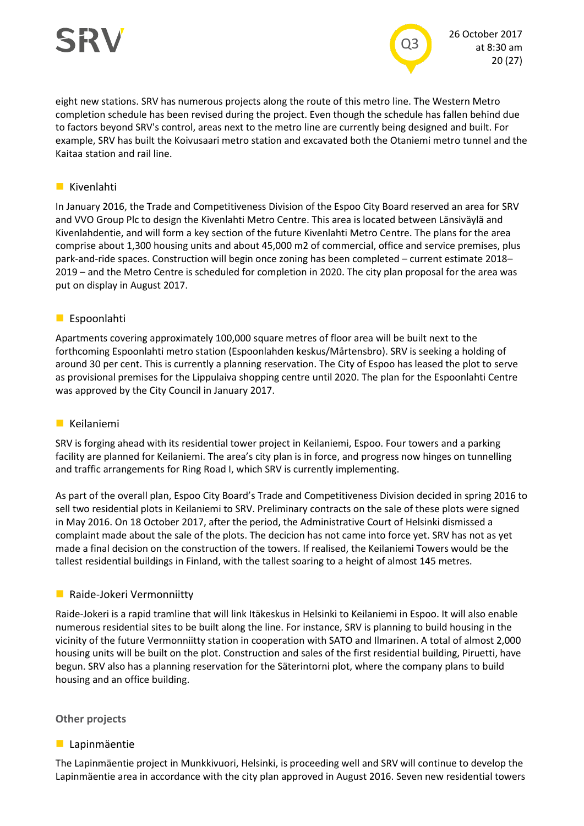

eight new stations. SRV has numerous projects along the route of this metro line. The Western Metro completion schedule has been revised during the project. Even though the schedule has fallen behind due to factors beyond SRV's control, areas next to the metro line are currently being designed and built. For example, SRV has built the Koivusaari metro station and excavated both the Otaniemi metro tunnel and the Kaitaa station and rail line.

#### **Kivenlahti**

In January 2016, the Trade and Competitiveness Division of the Espoo City Board reserved an area for SRV and VVO Group Plc to design the Kivenlahti Metro Centre. This area is located between Länsiväylä and Kivenlahdentie, and will form a key section of the future Kivenlahti Metro Centre. The plans for the area comprise about 1,300 housing units and about 45,000 m2 of commercial, office and service premises, plus park-and-ride spaces. Construction will begin once zoning has been completed – current estimate 2018– 2019 – and the Metro Centre is scheduled for completion in 2020. The city plan proposal for the area was put on display in August 2017.

#### **Espoonlahti**

Apartments covering approximately 100,000 square metres of floor area will be built next to the forthcoming Espoonlahti metro station (Espoonlahden keskus/Mårtensbro). SRV is seeking a holding of around 30 per cent. This is currently a planning reservation. The City of Espoo has leased the plot to serve as provisional premises for the Lippulaiva shopping centre until 2020. The plan for the Espoonlahti Centre was approved by the City Council in January 2017.

#### **Keilaniemi**

SRV is forging ahead with its residential tower project in Keilaniemi, Espoo. Four towers and a parking facility are planned for Keilaniemi. The area's city plan is in force, and progress now hinges on tunnelling and traffic arrangements for Ring Road I, which SRV is currently implementing.

As part of the overall plan, Espoo City Board's Trade and Competitiveness Division decided in spring 2016 to sell two residential plots in Keilaniemi to SRV. Preliminary contracts on the sale of these plots were signed in May 2016. On 18 October 2017, after the period, the Administrative Court of Helsinki dismissed a complaint made about the sale of the plots. The decicion has not came into force yet. SRV has not as yet made a final decision on the construction of the towers. If realised, the Keilaniemi Towers would be the tallest residential buildings in Finland, with the tallest soaring to a height of almost 145 metres.

#### **Raide-Jokeri Vermonniitty**

Raide-Jokeri is a rapid tramline that will link Itäkeskus in Helsinki to Keilaniemi in Espoo. It will also enable numerous residential sites to be built along the line. For instance, SRV is planning to build housing in the vicinity of the future Vermonniitty station in cooperation with SATO and Ilmarinen. A total of almost 2,000 housing units will be built on the plot. Construction and sales of the first residential building, Piruetti, have begun. SRV also has a planning reservation for the Säterintorni plot, where the company plans to build housing and an office building.

#### **Other projects**

#### **Lapinmäentie**

The Lapinmäentie project in Munkkivuori, Helsinki, is proceeding well and SRV will continue to develop the Lapinmäentie area in accordance with the city plan approved in August 2016. Seven new residential towers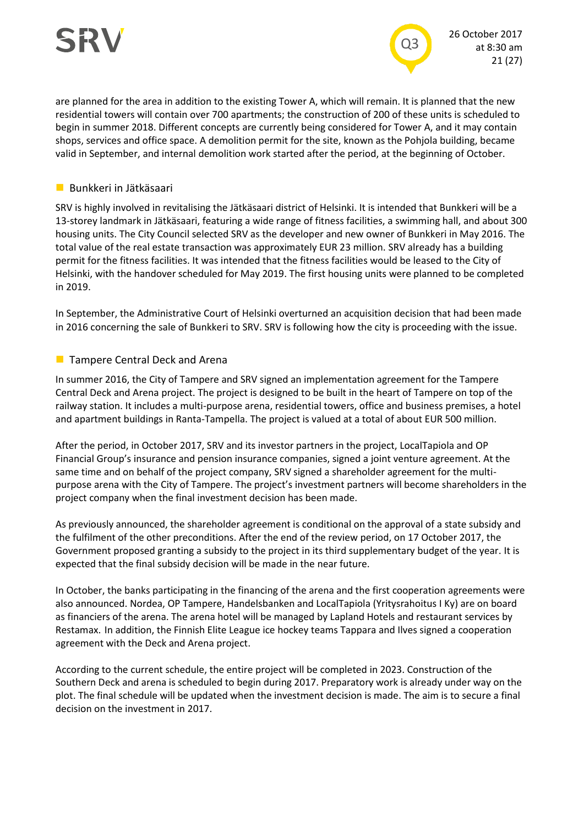

are planned for the area in addition to the existing Tower A, which will remain. It is planned that the new residential towers will contain over 700 apartments; the construction of 200 of these units is scheduled to begin in summer 2018. Different concepts are currently being considered for Tower A, and it may contain shops, services and office space. A demolition permit for the site, known as the Pohjola building, became valid in September, and internal demolition work started after the period, at the beginning of October.

#### **Bunkkeri in Jätkäsaari**

SRV is highly involved in revitalising the Jätkäsaari district of Helsinki. It is intended that Bunkkeri will be a 13-storey landmark in Jätkäsaari, featuring a wide range of fitness facilities, a swimming hall, and about 300 housing units. The City Council selected SRV as the developer and new owner of Bunkkeri in May 2016. The total value of the real estate transaction was approximately EUR 23 million. SRV already has a building permit for the fitness facilities. It was intended that the fitness facilities would be leased to the City of Helsinki, with the handover scheduled for May 2019. The first housing units were planned to be completed in 2019.

In September, the Administrative Court of Helsinki overturned an acquisition decision that had been made in 2016 concerning the sale of Bunkkeri to SRV. SRV is following how the city is proceeding with the issue.

#### **Tampere Central Deck and Arena**

In summer 2016, the City of Tampere and SRV signed an implementation agreement for the Tampere Central Deck and Arena project. The project is designed to be built in the heart of Tampere on top of the railway station. It includes a multi-purpose arena, residential towers, office and business premises, a hotel and apartment buildings in Ranta-Tampella. The project is valued at a total of about EUR 500 million.

After the period, in October 2017, SRV and its investor partners in the project, LocalTapiola and OP Financial Group's insurance and pension insurance companies, signed a joint venture agreement. At the same time and on behalf of the project company, SRV signed a shareholder agreement for the multipurpose arena with the City of Tampere. The project's investment partners will become shareholders in the project company when the final investment decision has been made.

As previously announced, the shareholder agreement is conditional on the approval of a state subsidy and the fulfilment of the other preconditions. After the end of the review period, on 17 October 2017, the Government proposed granting a subsidy to the project in its third supplementary budget of the year. It is expected that the final subsidy decision will be made in the near future.

In October, the banks participating in the financing of the arena and the first cooperation agreements were also announced. Nordea, OP Tampere, Handelsbanken and LocalTapiola (Yritysrahoitus I Ky) are on board as financiers of the arena. The arena hotel will be managed by Lapland Hotels and restaurant services by Restamax. In addition, the Finnish Elite League ice hockey teams Tappara and Ilves signed a cooperation agreement with the Deck and Arena project.

According to the current schedule, the entire project will be completed in 2023. Construction of the Southern Deck and arena is scheduled to begin during 2017. Preparatory work is already under way on the plot. The final schedule will be updated when the investment decision is made. The aim is to secure a final decision on the investment in 2017.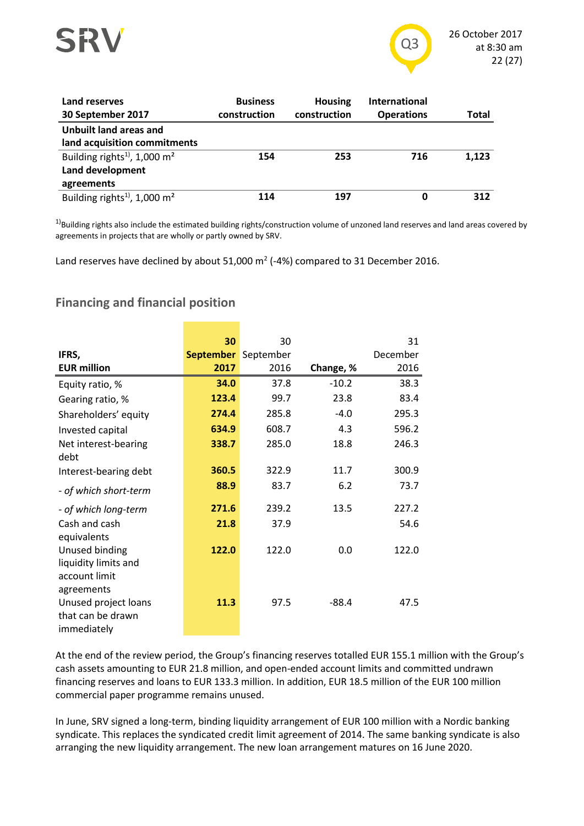

| Land reserves<br>30 September 2017                                                     | <b>Business</b><br>construction | <b>Housing</b><br>construction | <b>International</b><br><b>Operations</b> | Total |
|----------------------------------------------------------------------------------------|---------------------------------|--------------------------------|-------------------------------------------|-------|
| <b>Unbuilt land areas and</b><br>land acquisition commitments                          |                                 |                                |                                           |       |
| Building rights <sup>1)</sup> , 1,000 m <sup>2</sup><br>Land development<br>agreements | 154                             | 253                            | 716                                       | 1,123 |
| Building rights <sup>1)</sup> , 1,000 m <sup>2</sup>                                   | 114                             | 197                            | 0                                         | 312   |

 $1)$ Building rights also include the estimated building rights/construction volume of unzoned land reserves and land areas covered by agreements in projects that are wholly or partly owned by SRV.

Land reserves have declined by about 51,000  $m^2$  (-4%) compared to 31 December 2016.

# **Financing and financial position**

|                       | 30               | 30        |           | 31       |
|-----------------------|------------------|-----------|-----------|----------|
| IFRS,                 | <b>September</b> | September |           | December |
| <b>EUR million</b>    | 2017             | 2016      | Change, % | 2016     |
| Equity ratio, %       | 34.0             | 37.8      | $-10.2$   | 38.3     |
| Gearing ratio, %      | 123.4            | 99.7      | 23.8      | 83.4     |
| Shareholders' equity  | 274.4            | 285.8     | $-4.0$    | 295.3    |
| Invested capital      | 634.9            | 608.7     | 4.3       | 596.2    |
| Net interest-bearing  | 338.7            | 285.0     | 18.8      | 246.3    |
| debt                  |                  |           |           |          |
| Interest-bearing debt | 360.5            | 322.9     | 11.7      | 300.9    |
| - of which short-term | 88.9             | 83.7      | 6.2       | 73.7     |
| - of which long-term  | 271.6            | 239.2     | 13.5      | 227.2    |
| Cash and cash         | 21.8             | 37.9      |           | 54.6     |
| equivalents           |                  |           |           |          |
| Unused binding        | 122.0            | 122.0     | 0.0       | 122.0    |
| liquidity limits and  |                  |           |           |          |
| account limit         |                  |           |           |          |
| agreements            |                  |           |           |          |
| Unused project loans  | 11.3             | 97.5      | $-88.4$   | 47.5     |
| that can be drawn     |                  |           |           |          |
| immediately           |                  |           |           |          |

At the end of the review period, the Group's financing reserves totalled EUR 155.1 million with the Group's cash assets amounting to EUR 21.8 million, and open-ended account limits and committed undrawn financing reserves and loans to EUR 133.3 million. In addition, EUR 18.5 million of the EUR 100 million commercial paper programme remains unused.

In June, SRV signed a long-term, binding liquidity arrangement of EUR 100 million with a Nordic banking syndicate. This replaces the syndicated credit limit agreement of 2014. The same banking syndicate is also arranging the new liquidity arrangement. The new loan arrangement matures on 16 June 2020.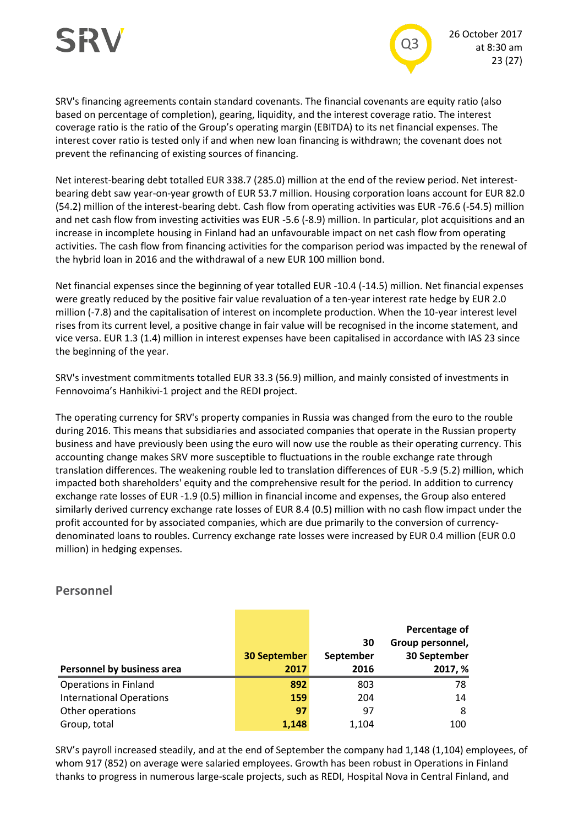

SRV's financing agreements contain standard covenants. The financial covenants are equity ratio (also based on percentage of completion), gearing, liquidity, and the interest coverage ratio. The interest coverage ratio is the ratio of the Group's operating margin (EBITDA) to its net financial expenses. The interest cover ratio is tested only if and when new loan financing is withdrawn; the covenant does not prevent the refinancing of existing sources of financing.

Net interest-bearing debt totalled EUR 338.7 (285.0) million at the end of the review period. Net interestbearing debt saw year-on-year growth of EUR 53.7 million. Housing corporation loans account for EUR 82.0 (54.2) million of the interest-bearing debt. Cash flow from operating activities was EUR -76.6 (-54.5) million and net cash flow from investing activities was EUR -5.6 (-8.9) million. In particular, plot acquisitions and an increase in incomplete housing in Finland had an unfavourable impact on net cash flow from operating activities. The cash flow from financing activities for the comparison period was impacted by the renewal of the hybrid loan in 2016 and the withdrawal of a new EUR 100 million bond.

Net financial expenses since the beginning of year totalled EUR -10.4 (-14.5) million. Net financial expenses were greatly reduced by the positive fair value revaluation of a ten-year interest rate hedge by EUR 2.0 million (-7.8) and the capitalisation of interest on incomplete production. When the 10-year interest level rises from its current level, a positive change in fair value will be recognised in the income statement, and vice versa. EUR 1.3 (1.4) million in interest expenses have been capitalised in accordance with IAS 23 since the beginning of the year.

SRV's investment commitments totalled EUR 33.3 (56.9) million, and mainly consisted of investments in Fennovoima's Hanhikivi-1 project and the REDI project.

The operating currency for SRV's property companies in Russia was changed from the euro to the rouble during 2016. This means that subsidiaries and associated companies that operate in the Russian property business and have previously been using the euro will now use the rouble as their operating currency. This accounting change makes SRV more susceptible to fluctuations in the rouble exchange rate through translation differences. The weakening rouble led to translation differences of EUR -5.9 (5.2) million, which impacted both shareholders' equity and the comprehensive result for the period. In addition to currency exchange rate losses of EUR -1.9 (0.5) million in financial income and expenses, the Group also entered similarly derived currency exchange rate losses of EUR 8.4 (0.5) million with no cash flow impact under the profit accounted for by associated companies, which are due primarily to the conversion of currencydenominated loans to roubles. Currency exchange rate losses were increased by EUR 0.4 million (EUR 0.0 million) in hedging expenses.

|                                 | <b>30 September</b> | 30<br>September | Percentage of<br>Group personnel,<br>30 September |
|---------------------------------|---------------------|-----------------|---------------------------------------------------|
| Personnel by business area      | 2017                | 2016            | 2017, %                                           |
| <b>Operations in Finland</b>    | 892                 | 803             | 78                                                |
| <b>International Operations</b> | 159                 | 204             | 14                                                |
| Other operations                | 97                  | 97              | 8                                                 |
| Group, total                    | 1.148               | 1.104           | 100                                               |

# **Personnel**

SRV's payroll increased steadily, and at the end of September the company had 1,148 (1,104) employees, of whom 917 (852) on average were salaried employees. Growth has been robust in Operations in Finland thanks to progress in numerous large-scale projects, such as REDI, Hospital Nova in Central Finland, and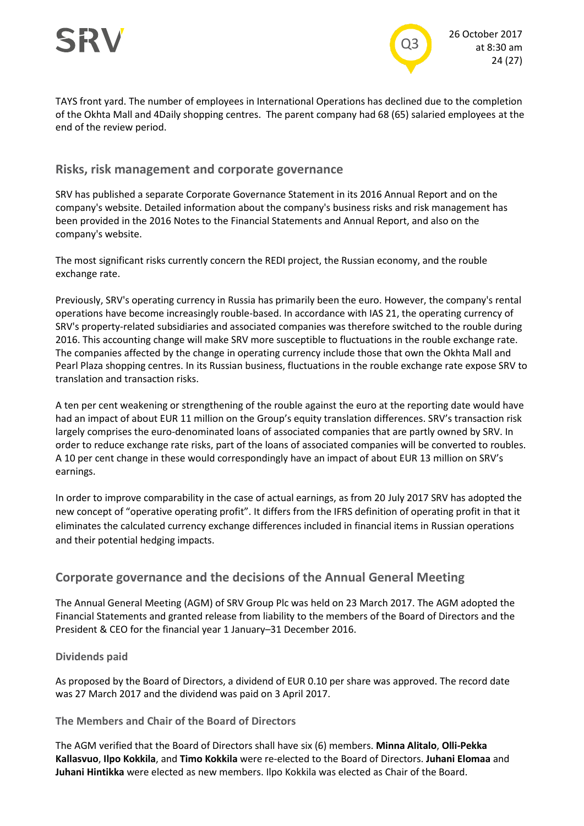

TAYS front yard. The number of employees in International Operations has declined due to the completion of the Okhta Mall and 4Daily shopping centres. The parent company had 68 (65) salaried employees at the end of the review period.

#### **Risks, risk management and corporate governance**

SRV has published a separate Corporate Governance Statement in its 2016 Annual Report and on the company's website. Detailed information about the company's business risks and risk management has been provided in the 2016 Notes to the Financial Statements and Annual Report, and also on the company's website.

The most significant risks currently concern the REDI project, the Russian economy, and the rouble exchange rate.

Previously, SRV's operating currency in Russia has primarily been the euro. However, the company's rental operations have become increasingly rouble-based. In accordance with IAS 21, the operating currency of SRV's property-related subsidiaries and associated companies was therefore switched to the rouble during 2016. This accounting change will make SRV more susceptible to fluctuations in the rouble exchange rate. The companies affected by the change in operating currency include those that own the Okhta Mall and Pearl Plaza shopping centres. In its Russian business, fluctuations in the rouble exchange rate expose SRV to translation and transaction risks.

A ten per cent weakening or strengthening of the rouble against the euro at the reporting date would have had an impact of about EUR 11 million on the Group's equity translation differences. SRV's transaction risk largely comprises the euro-denominated loans of associated companies that are partly owned by SRV. In order to reduce exchange rate risks, part of the loans of associated companies will be converted to roubles. A 10 per cent change in these would correspondingly have an impact of about EUR 13 million on SRV's earnings.

In order to improve comparability in the case of actual earnings, as from 20 July 2017 SRV has adopted the new concept of "operative operating profit". It differs from the IFRS definition of operating profit in that it eliminates the calculated currency exchange differences included in financial items in Russian operations and their potential hedging impacts.

# **Corporate governance and the decisions of the Annual General Meeting**

The Annual General Meeting (AGM) of SRV Group Plc was held on 23 March 2017. The AGM adopted the Financial Statements and granted release from liability to the members of the Board of Directors and the President & CEO for the financial year 1 January–31 December 2016.

#### **Dividends paid**

As proposed by the Board of Directors, a dividend of EUR 0.10 per share was approved. The record date was 27 March 2017 and the dividend was paid on 3 April 2017.

#### **The Members and Chair of the Board of Directors**

The AGM verified that the Board of Directors shall have six (6) members. **Minna Alitalo**, **Olli-Pekka Kallasvuo**, **Ilpo Kokkila**, and **Timo Kokkila** were re-elected to the Board of Directors. **Juhani Elomaa** and **Juhani Hintikka** were elected as new members. Ilpo Kokkila was elected as Chair of the Board.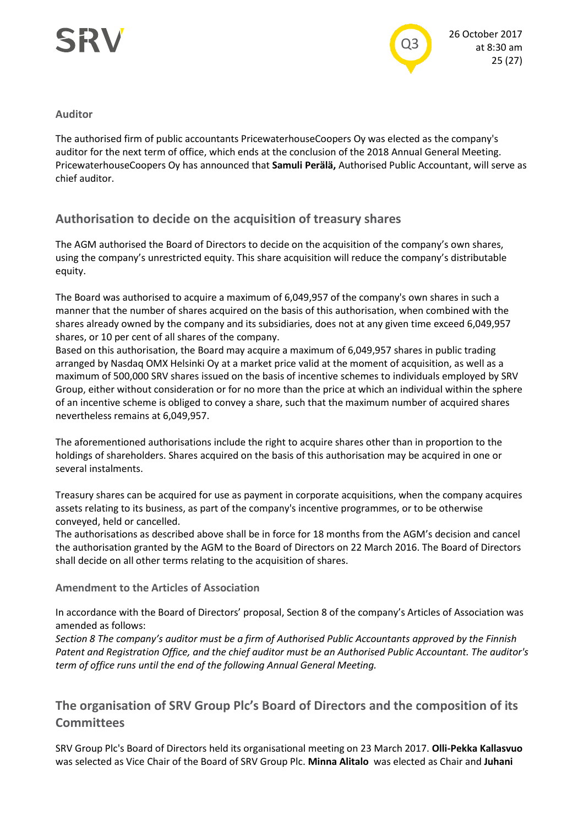

#### **Auditor**

The authorised firm of public accountants PricewaterhouseCoopers Oy was elected as the company's auditor for the next term of office, which ends at the conclusion of the 2018 Annual General Meeting. PricewaterhouseCoopers Oy has announced that **Samuli Perälä,** Authorised Public Accountant, will serve as chief auditor.

# **Authorisation to decide on the acquisition of treasury shares**

The AGM authorised the Board of Directors to decide on the acquisition of the company's own shares, using the company's unrestricted equity. This share acquisition will reduce the company's distributable equity.

The Board was authorised to acquire a maximum of 6,049,957 of the company's own shares in such a manner that the number of shares acquired on the basis of this authorisation, when combined with the shares already owned by the company and its subsidiaries, does not at any given time exceed 6,049,957 shares, or 10 per cent of all shares of the company.

Based on this authorisation, the Board may acquire a maximum of 6,049,957 shares in public trading arranged by Nasdaq OMX Helsinki Oy at a market price valid at the moment of acquisition, as well as a maximum of 500,000 SRV shares issued on the basis of incentive schemes to individuals employed by SRV Group, either without consideration or for no more than the price at which an individual within the sphere of an incentive scheme is obliged to convey a share, such that the maximum number of acquired shares nevertheless remains at 6,049,957.

The aforementioned authorisations include the right to acquire shares other than in proportion to the holdings of shareholders. Shares acquired on the basis of this authorisation may be acquired in one or several instalments.

Treasury shares can be acquired for use as payment in corporate acquisitions, when the company acquires assets relating to its business, as part of the company's incentive programmes, or to be otherwise conveyed, held or cancelled.

The authorisations as described above shall be in force for 18 months from the AGM's decision and cancel the authorisation granted by the AGM to the Board of Directors on 22 March 2016. The Board of Directors shall decide on all other terms relating to the acquisition of shares.

### **Amendment to the Articles of Association**

In accordance with the Board of Directors' proposal, Section 8 of the company's Articles of Association was amended as follows:

*Section 8 The company's auditor must be a firm of Authorised Public Accountants approved by the Finnish Patent and Registration Office, and the chief auditor must be an Authorised Public Accountant. The auditor's term of office runs until the end of the following Annual General Meeting.*

# **The organisation of SRV Group Plc's Board of Directors and the composition of its Committees**

SRV Group Plc's Board of Directors held its organisational meeting on 23 March 2017. **Olli-Pekka Kallasvuo** was selected as Vice Chair of the Board of SRV Group Plc. **Minna Alitalo** was elected as Chair and **Juhani**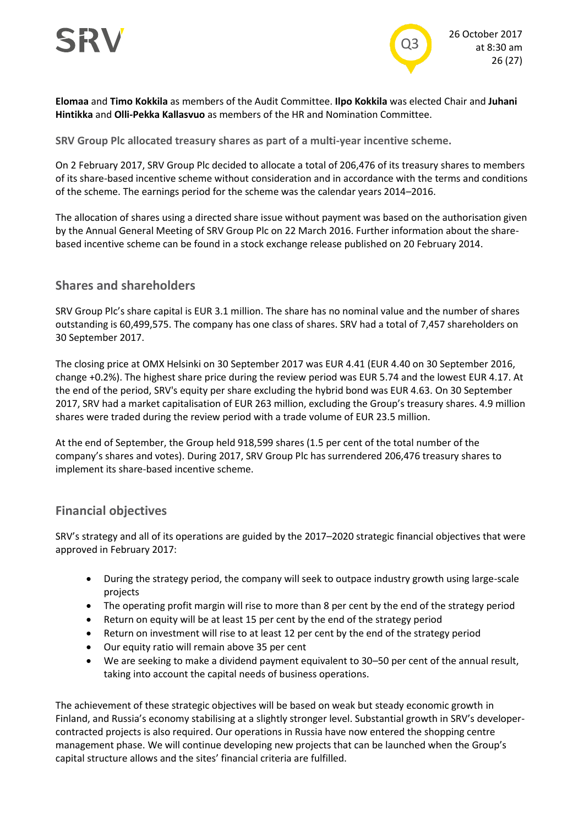

**Elomaa** and **Timo Kokkila** as members of the Audit Committee. **Ilpo Kokkila** was elected Chair and **Juhani Hintikka** and **Olli-Pekka Kallasvuo** as members of the HR and Nomination Committee.

**SRV Group Plc allocated treasury shares as part of a multi-year incentive scheme.**

On 2 February 2017, SRV Group Plc decided to allocate a total of 206,476 of its treasury shares to members of its share-based incentive scheme without consideration and in accordance with the terms and conditions of the scheme. The earnings period for the scheme was the calendar years 2014–2016.

The allocation of shares using a directed share issue without payment was based on the authorisation given by the Annual General Meeting of SRV Group Plc on 22 March 2016. Further information about the sharebased incentive scheme can be found in a stock exchange release published on 20 February 2014.

# **Shares and shareholders**

SRV Group Plc's share capital is EUR 3.1 million. The share has no nominal value and the number of shares outstanding is 60,499,575. The company has one class of shares. SRV had a total of 7,457 shareholders on 30 September 2017.

The closing price at OMX Helsinki on 30 September 2017 was EUR 4.41 (EUR 4.40 on 30 September 2016, change +0.2%). The highest share price during the review period was EUR 5.74 and the lowest EUR 4.17. At the end of the period, SRV's equity per share excluding the hybrid bond was EUR 4.63. On 30 September 2017, SRV had a market capitalisation of EUR 263 million, excluding the Group's treasury shares. 4.9 million shares were traded during the review period with a trade volume of EUR 23.5 million.

At the end of September, the Group held 918,599 shares (1.5 per cent of the total number of the company's shares and votes). During 2017, SRV Group Plc has surrendered 206,476 treasury shares to implement its share-based incentive scheme.

# **Financial objectives**

SRV's strategy and all of its operations are guided by the 2017–2020 strategic financial objectives that were approved in February 2017:

- During the strategy period, the company will seek to outpace industry growth using large-scale projects
- The operating profit margin will rise to more than 8 per cent by the end of the strategy period
- Return on equity will be at least 15 per cent by the end of the strategy period
- Return on investment will rise to at least 12 per cent by the end of the strategy period
- Our equity ratio will remain above 35 per cent
- We are seeking to make a dividend payment equivalent to 30–50 per cent of the annual result, taking into account the capital needs of business operations.

The achievement of these strategic objectives will be based on weak but steady economic growth in Finland, and Russia's economy stabilising at a slightly stronger level. Substantial growth in SRV's developercontracted projects is also required. Our operations in Russia have now entered the shopping centre management phase. We will continue developing new projects that can be launched when the Group's capital structure allows and the sites' financial criteria are fulfilled.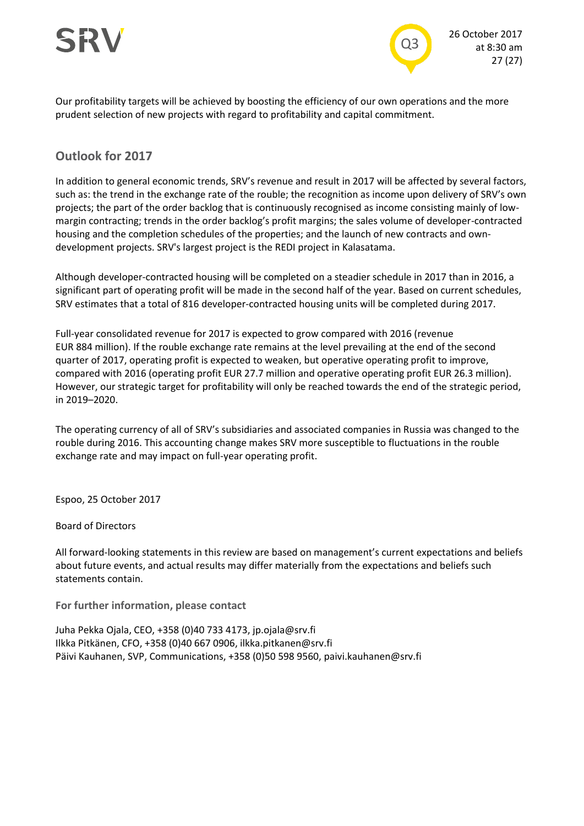



Our profitability targets will be achieved by boosting the efficiency of our own operations and the more prudent selection of new projects with regard to profitability and capital commitment.

# **Outlook for 2017**

In addition to general economic trends, SRV's revenue and result in 2017 will be affected by several factors, such as: the trend in the exchange rate of the rouble; the recognition as income upon delivery of SRV's own projects; the part of the order backlog that is continuously recognised as income consisting mainly of lowmargin contracting; trends in the order backlog's profit margins; the sales volume of developer-contracted housing and the completion schedules of the properties; and the launch of new contracts and owndevelopment projects. SRV's largest project is the REDI project in Kalasatama.

Although developer-contracted housing will be completed on a steadier schedule in 2017 than in 2016, a significant part of operating profit will be made in the second half of the year. Based on current schedules, SRV estimates that a total of 816 developer-contracted housing units will be completed during 2017.

Full-year consolidated revenue for 2017 is expected to grow compared with 2016 (revenue EUR 884 million). If the rouble exchange rate remains at the level prevailing at the end of the second quarter of 2017, operating profit is expected to weaken, but operative operating profit to improve, compared with 2016 (operating profit EUR 27.7 million and operative operating profit EUR 26.3 million). However, our strategic target for profitability will only be reached towards the end of the strategic period, in 2019–2020.

The operating currency of all of SRV's subsidiaries and associated companies in Russia was changed to the rouble during 2016. This accounting change makes SRV more susceptible to fluctuations in the rouble exchange rate and may impact on full-year operating profit.

Espoo, 25 October 2017

Board of Directors

All forward-looking statements in this review are based on management's current expectations and beliefs about future events, and actual results may differ materially from the expectations and beliefs such statements contain.

**For further information, please contact**

Juha Pekka Ojala, CEO, +358 (0)40 733 4173, jp.ojala@srv.fi Ilkka Pitkänen, CFO, +358 (0)40 667 0906, ilkka.pitkanen@srv.fi Päivi Kauhanen, SVP, Communications, +358 (0)50 598 9560, paivi.kauhanen@srv.fi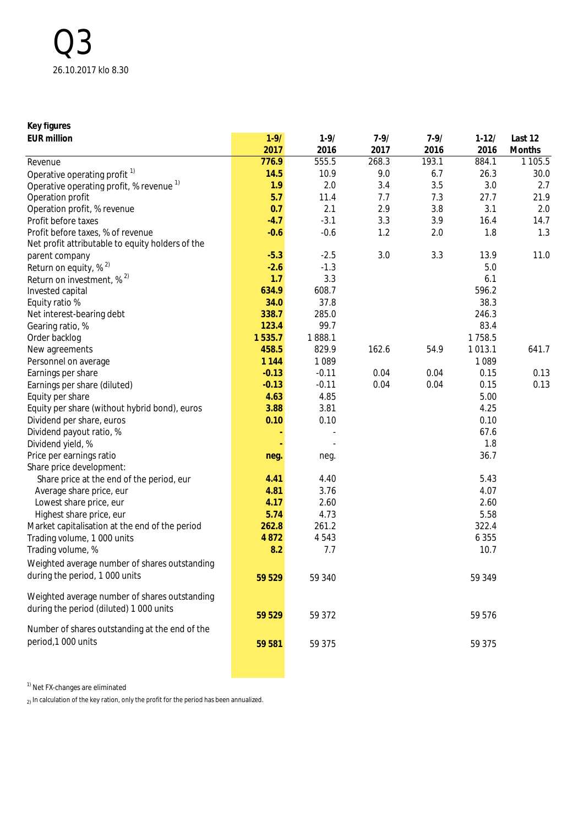| Key figures                                         |          |          |          |          |           |            |
|-----------------------------------------------------|----------|----------|----------|----------|-----------|------------|
| <b>EUR million</b>                                  | $1 - 9/$ | $1 - 9/$ | $7 - 9/$ | $7 - 9/$ | $1 - 12/$ | Last 12    |
|                                                     | 2017     | 2016     | 2017     | 2016     | 2016      | Months     |
| Revenue                                             | 776.9    | 555.5    | 268.3    | 193.1    | 884.1     | 1 1 0 5 .5 |
| Operative operating profit <sup>1)</sup>            | 14.5     | 10.9     | 9.0      | 6.7      | 26.3      | 30.0       |
| Operative operating profit, % revenue <sup>1)</sup> | 1.9      | 2.0      | 3.4      | 3.5      | 3.0       | 2.7        |
| Operation profit                                    | 5.7      | 11.4     | 7.7      | 7.3      | 27.7      | 21.9       |
| Operation profit, % revenue                         | 0.7      | 2.1      | 2.9      | 3.8      | 3.1       | 2.0        |
| Profit before taxes                                 | $-4.7$   | $-3.1$   | 3.3      | 3.9      | 16.4      | 14.7       |
| Profit before taxes, % of revenue                   | $-0.6$   | $-0.6$   | 1.2      | 2.0      | 1.8       | 1.3        |
| Net profit attributable to equity holders of the    |          |          |          |          |           |            |
| parent company                                      | $-5.3$   | $-2.5$   | 3.0      | 3.3      | 13.9      | 11.0       |
| Return on equity, % <sup>2)</sup>                   | $-2.6$   | $-1.3$   |          |          | 5.0       |            |
| Return on investment, $\%$ <sup>2)</sup>            | 1.7      | 3.3      |          |          | 6.1       |            |
| Invested capital                                    | 634.9    | 608.7    |          |          | 596.2     |            |
| Equity ratio %                                      | 34.0     | 37.8     |          |          | 38.3      |            |
| Net interest-bearing debt                           | 338.7    | 285.0    |          |          | 246.3     |            |
| Gearing ratio, %                                    | 123.4    | 99.7     |          |          | 83.4      |            |
| Order backlog                                       | 1535.7   | 1888.1   |          |          | 1758.5    |            |
| New agreements                                      | 458.5    | 829.9    | 162.6    | 54.9     | 1013.1    | 641.7      |
| Personnel on average                                | 1 1 4 4  | 1089     |          |          | 1 0 8 9   |            |
| Earnings per share                                  | $-0.13$  | $-0.11$  | 0.04     | 0.04     | 0.15      | 0.13       |
| Earnings per share (diluted)                        | $-0.13$  | $-0.11$  | 0.04     | 0.04     | 0.15      | 0.13       |
| Equity per share                                    | 4.63     | 4.85     |          |          | 5.00      |            |
| Equity per share (without hybrid bond), euros       | 3.88     | 3.81     |          |          | 4.25      |            |
| Dividend per share, euros                           | 0.10     | 0.10     |          |          | 0.10      |            |
| Dividend payout ratio, %                            |          |          |          |          | 67.6      |            |
| Dividend yield, %                                   |          |          |          |          | 1.8       |            |
| Price per earnings ratio                            | neg.     | neg.     |          |          | 36.7      |            |
| Share price development:                            |          |          |          |          |           |            |
| Share price at the end of the period, eur           | 4.41     | 4.40     |          |          | 5.43      |            |
| Average share price, eur                            | 4.81     | 3.76     |          |          | 4.07      |            |
| Lowest share price, eur                             | 4.17     | 2.60     |          |          | 2.60      |            |
|                                                     | 5.74     | 4.73     |          |          | 5.58      |            |
| Highest share price, eur                            |          |          |          |          |           |            |
| Market capitalisation at the end of the period      | 262.8    | 261.2    |          |          | 322.4     |            |
| Trading volume, 1 000 units                         | 4 8 7 2  | 4543     |          |          | 6 3 5 5   |            |
| Trading volume, %                                   | 8.2      | 7.7      |          |          | 10.7      |            |
| Weighted average number of shares outstanding       |          |          |          |          |           |            |
| during the period, 1 000 units                      | 59 529   | 59 340   |          |          | 59 349    |            |
|                                                     |          |          |          |          |           |            |
| Weighted average number of shares outstanding       |          |          |          |          |           |            |
| during the period (diluted) 1 000 units             | 59 529   | 59 372   |          |          | 59 576    |            |
|                                                     |          |          |          |          |           |            |
| Number of shares outstanding at the end of the      |          |          |          |          |           |            |
| period, 1000 units                                  | 59 581   | 59 375   |          |          | 59 375    |            |
|                                                     |          |          |          |          |           |            |
|                                                     |          |          |          |          |           |            |

 $1)$  Net FX-changes are eliminated

 $_2$ ) In calculation of the key ration, only the profit for the period has been annualized.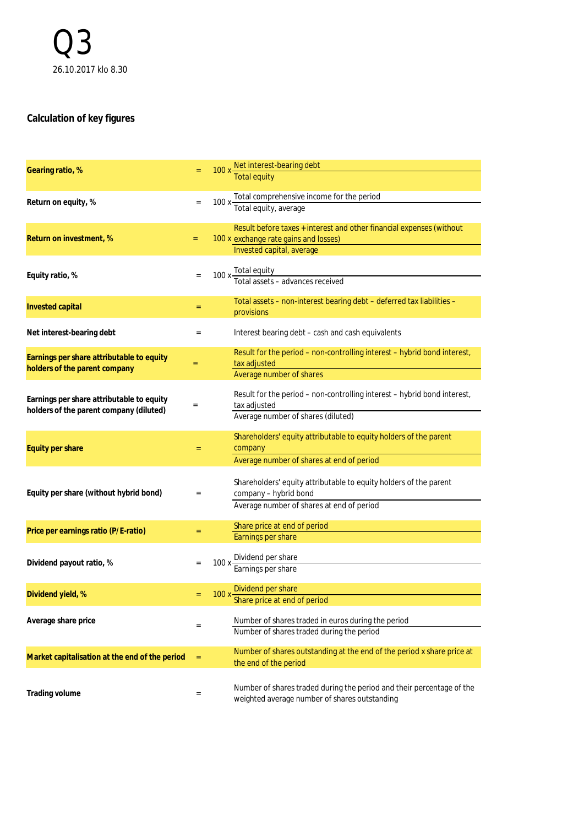# **Calculation of key figures**

| Gearing ratio, %                                                                     |                            | 100 x Net interest-bearing debt<br>Total equity                                                 |
|--------------------------------------------------------------------------------------|----------------------------|-------------------------------------------------------------------------------------------------|
|                                                                                      |                            |                                                                                                 |
| Return on equity, %                                                                  | $\equiv$                   | 100 x Total comprehensive income for the period<br>Total equity, average                        |
|                                                                                      |                            |                                                                                                 |
|                                                                                      |                            | Result before taxes + interest and other financial expenses (without                            |
| Return on investment, %                                                              | $=$                        | 100 x exchange rate gains and losses)                                                           |
|                                                                                      |                            | Invested capital, average                                                                       |
| Equity ratio, %                                                                      | $\equiv$                   | 100 x Total equity<br>Total assets – advances received                                          |
|                                                                                      |                            |                                                                                                 |
| Invested capital                                                                     | $=$                        | Total assets - non-interest bearing debt - deferred tax liabilities -                           |
|                                                                                      |                            | provisions                                                                                      |
| Net interest-bearing debt                                                            | $\qquad \qquad =$          | Interest bearing debt - cash and cash equivalents                                               |
|                                                                                      |                            | Result for the period - non-controlling interest - hybrid bond interest,                        |
| Earnings per share attributable to equity<br>holders of the parent company           | $=$                        | tax adjusted                                                                                    |
|                                                                                      |                            | Average number of shares                                                                        |
|                                                                                      |                            | Result for the period – non-controlling interest – hybrid bond interest,                        |
| Earnings per share attributable to equity<br>holders of the parent company (diluted) | $\equiv$                   | tax adjusted                                                                                    |
|                                                                                      |                            | Average number of shares (diluted)                                                              |
|                                                                                      |                            | Shareholders' equity attributable to equity holders of the parent                               |
| Equity per share                                                                     | $=$                        | company                                                                                         |
|                                                                                      |                            | Average number of shares at end of period                                                       |
|                                                                                      |                            | Shareholders' equity attributable to equity holders of the parent                               |
| Equity per share (without hybrid bond)                                               | $\qquad \qquad =$          | company - hybrid bond                                                                           |
|                                                                                      |                            | Average number of shares at end of period                                                       |
|                                                                                      |                            | Share price at end of period                                                                    |
| Price per earnings ratio (P/E-ratio)                                                 | $=$                        | Earnings per share                                                                              |
|                                                                                      |                            |                                                                                                 |
| Dividend payout ratio, %                                                             |                            | 100 x Dividend per share<br>Earnings per share                                                  |
|                                                                                      |                            |                                                                                                 |
| Dividend yield, %                                                                    | $=$                        | 100 x Dividend per share<br>Share price at end of period                                        |
|                                                                                      |                            |                                                                                                 |
| Average share price                                                                  | $\quad \  \, =\quad \  \,$ | Number of shares traded in euros during the period<br>Number of shares traded during the period |
|                                                                                      |                            |                                                                                                 |
| Market capitalisation at the end of the period                                       | $\equiv$                   | Number of shares outstanding at the end of the period x share price at<br>the end of the period |
|                                                                                      |                            |                                                                                                 |
|                                                                                      |                            | Number of shares traded during the period and their percentage of the                           |
| Trading volume                                                                       | $\quad \  \, =\quad$       | weighted average number of shares outstanding                                                   |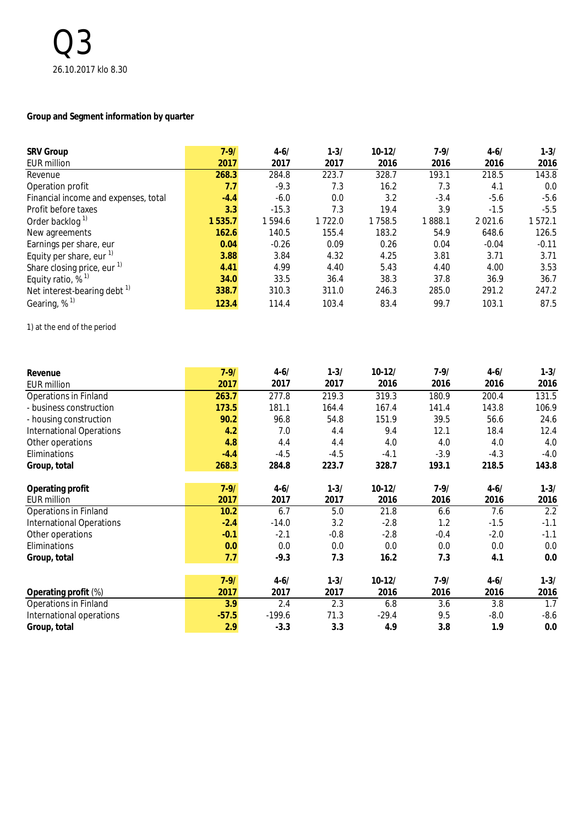## **Group and Segment information by quarter**

| <b>SRV Group</b>                        | $7 - 9/$ | $4 - 6/$ | $1 - 3/$ | $10 - 12/$ | $7-9/$ | $4 - 6/$    | $1 - 3/$ |
|-----------------------------------------|----------|----------|----------|------------|--------|-------------|----------|
| <b>EUR million</b>                      | 2017     | 2017     | 2017     | 2016       | 2016   | 2016        | 2016     |
| Revenue                                 | 268.3    | 284.8    | 223.7    | 328.7      | 193.1  | 218.5       | 143.8    |
| Operation profit                        | 7.7      | $-9.3$   | 7.3      | 16.2       | 7.3    | 4.1         | 0.0      |
| Financial income and expenses, total    | $-4.4$   | $-6.0$   | 0.0      | 3.2        | $-3.4$ | $-5.6$      | $-5.6$   |
| Profit before taxes                     | 3.3      | $-15.3$  | 7.3      | 19.4       | 3.9    | $-1.5$      | $-5.5$   |
| Order backlog <sup>1)</sup>             | 1535.7   | 1594.6   | 1722.0   | 1758.5     | 1888.1 | 2 0 2 1 . 6 | 1572.1   |
| New agreements                          | 162.6    | 140.5    | 155.4    | 183.2      | 54.9   | 648.6       | 126.5    |
| Earnings per share, eur                 | 0.04     | $-0.26$  | 0.09     | 0.26       | 0.04   | $-0.04$     | $-0.11$  |
| Equity per share, eur $1$               | 3.88     | 3.84     | 4.32     | 4.25       | 3.81   | 3.71        | 3.71     |
| Share closing price, eur <sup>1)</sup>  | 4.41     | 4.99     | 4.40     | 5.43       | 4.40   | 4.00        | 3.53     |
| Equity ratio, $%$ <sup>1)</sup>         | 34.0     | 33.5     | 36.4     | 38.3       | 37.8   | 36.9        | 36.7     |
| Net interest-bearing debt $\frac{1}{1}$ | 338.7    | 310.3    | 311.0    | 246.3      | 285.0  | 291.2       | 247.2    |
| Gearing, $%$ <sup>1)</sup>              | 123.4    | 114.4    | 103.4    | 83.4       | 99.7   | 103.1       | 87.5     |

1) at the end of the period

| Revenue                         | $7 - 9/$ | $4 - 6/$ | $1 - 3/$ | $10-12/$ | $7 - 9/$ | $4 - 6/$ | $1 - 3/$ |
|---------------------------------|----------|----------|----------|----------|----------|----------|----------|
| <b>EUR million</b>              | 2017     | 2017     | 2017     | 2016     | 2016     | 2016     | 2016     |
| <b>Operations in Finland</b>    | 263.7    | 277.8    | 219.3    | 319.3    | 180.9    | 200.4    | 131.5    |
| - business construction         | 173.5    | 181.1    | 164.4    | 167.4    | 141.4    | 143.8    | 106.9    |
| - housing construction          | 90.2     | 96.8     | 54.8     | 151.9    | 39.5     | 56.6     | 24.6     |
| <b>International Operations</b> | 4.2      | 7.0      | 4.4      | 9.4      | 12.1     | 18.4     | 12.4     |
| Other operations                | 4.8      | 4.4      | 4.4      | 4.0      | 4.0      | 4.0      | 4.0      |
| Eliminations                    | $-4.4$   | $-4.5$   | $-4.5$   | $-4.1$   | $-3.9$   | $-4.3$   | $-4.0$   |
| Group, total                    | 268.3    | 284.8    | 223.7    | 328.7    | 193.1    | 218.5    | 143.8    |
| Operating profit                | $7 - 9/$ | $4 - 6/$ | $1 - 3/$ | $10-12/$ | $7-9/$   | $4 - 6/$ | $1 - 3/$ |
| <b>EUR million</b>              | 2017     | 2017     | 2017     | 2016     | 2016     | 2016     | 2016     |
| <b>Operations in Finland</b>    | 10.2     | 6.7      | 5.0      | 21.8     | 6.6      | 7.6      | 2.2      |
| <b>International Operations</b> | $-2.4$   | $-14.0$  | 3.2      | $-2.8$   | 1.2      | $-1.5$   | $-1.1$   |
| Other operations                | $-0.1$   | $-2.1$   | $-0.8$   | $-2.8$   | $-0.4$   | $-2.0$   | $-1.1$   |
| Eliminations                    | 0.0      | 0.0      | 0.0      | 0.0      | 0.0      | 0.0      | 0.0      |
| Group, total                    | 7.7      | $-9.3$   | 7.3      | 16.2     | 7.3      | 4.1      | 0.0      |
|                                 | $7 - 9/$ | $4 - 6/$ | $1 - 3/$ | $10-12/$ | $7 - 9/$ | $4 - 6/$ | $1 - 3/$ |
| Operating profit (%)            | 2017     | 2017     | 2017     | 2016     | 2016     | 2016     | 2016     |
| Operations in Finland           | 3.9      | 2.4      | 2.3      | 6.8      | 3.6      | 3.8      | 1.7      |
| International operations        | $-57.5$  | $-199.6$ | 71.3     | $-29.4$  | 9.5      | $-8.0$   | $-8.6$   |
| Group, total                    | 2.9      | $-3.3$   | 3.3      | 4.9      | 3.8      | 1.9      | 0.0      |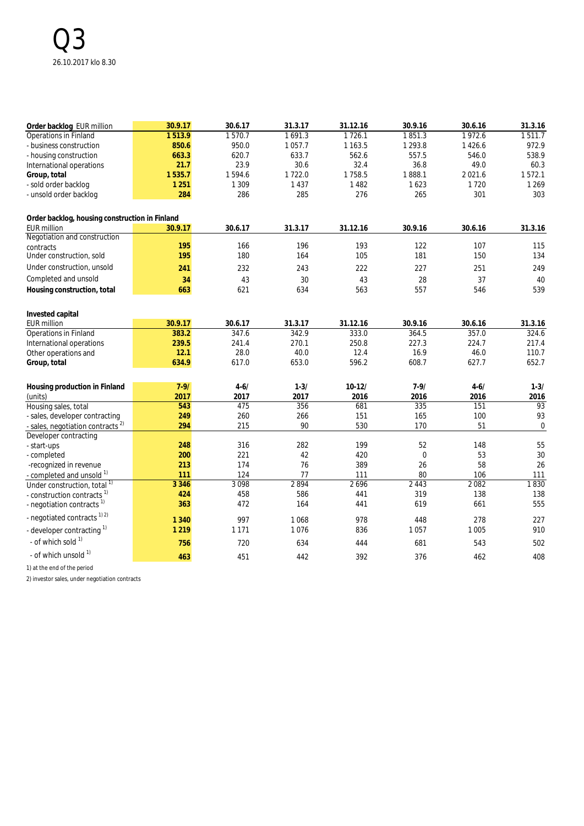| Order backlog EUR million                                                       | 30.9.17    | 30.6.17    | 31.3.17    | 31.12.16   | 30.9.16     | 30.6.16    | 31.3.16          |
|---------------------------------------------------------------------------------|------------|------------|------------|------------|-------------|------------|------------------|
| Operations in Finland                                                           | 1513.9     | 1570.7     | 1691.3     | 1726.1     | 1851.3      | 1972.6     | 1511.7           |
| - business construction                                                         | 850.6      | 950.0      | 1057.7     | 1 1 6 3 .5 | 1 2 9 3 . 8 | 1426.6     | 972.9            |
| - housing construction                                                          | 663.3      | 620.7      | 633.7      | 562.6      | 557.5       | 546.0      | 538.9            |
| International operations                                                        | 21.7       | 23.9       | 30.6       | 32.4       | 36.8        | 49.0       | 60.3             |
| Group, total                                                                    | 1535.7     | 1594.6     | 1722.0     | 1758.5     | 1888.1      | 2021.6     | 1572.1           |
| - sold order backlog                                                            | 1 2 5 1    | 1 3 0 9    | 1 4 3 7    | 1482       | 1623        | 1720       | 1 2 6 9          |
| - unsold order backlog                                                          | 284        | 286        | 285        | 276        | 265         | 301        | 303              |
| Order backlog, housing construction in Finland                                  |            |            |            |            |             |            |                  |
| <b>EUR million</b>                                                              | 30.9.17    | 30.6.17    | 31.3.17    | 31.12.16   | 30.9.16     | 30.6.16    | 31.3.16          |
| Negotiation and construction                                                    |            |            |            |            |             |            |                  |
| contracts                                                                       | 195        | 166        | 196        | 193        | 122         | 107        | 115              |
| Under construction, sold                                                        | 195        | 180        | 164        | 105        | 181         | 150        | 134              |
| Under construction, unsold                                                      | 241        | 232        | 243        | 222        | 227         | 251        | 249              |
| Completed and unsold                                                            | 34         | 43         | 30         | 43         | 28          | 37         | 40               |
| Housing construction, total                                                     | 663        | 621        | 634        | 563        | 557         | 546        | 539              |
| Invested capital                                                                |            |            |            |            |             |            |                  |
| <b>EUR</b> million                                                              | 30.9.17    | 30.6.17    | 31.3.17    | 31.12.16   | 30.9.16     | 30.6.16    | 31.3.16          |
| Operations in Finland                                                           | 383.2      | 347.6      | 342.9      | 333.0      | 364.5       | 357.0      | 324.6            |
| International operations                                                        | 239.5      | 241.4      | 270.1      | 250.8      | 227.3       | 224.7      | 217.4            |
| Other operations and                                                            | 12.1       | 28.0       | 40.0       | 12.4       | 16.9        | 46.0       | 110.7            |
| Group, total                                                                    | 634.9      | 617.0      | 653.0      | 596.2      | 608.7       | 627.7      | 652.7            |
|                                                                                 |            |            |            |            |             |            |                  |
| Housing production in Finland                                                   | $7 - 9/$   | $4 - 6/$   | $1 - 3/$   | $10 - 12/$ | $7 - 9/$    | $4 - 6/$   | $1 - 3/$         |
| (units)                                                                         | 2017       | 2017       | 2017       | 2016       | 2016        | 2016       | 2016             |
| Housing sales, total                                                            | 543        | 475        | 356        | 681        | 335         | 151        | 93               |
| - sales, developer contracting                                                  | 249        | 260        | 266        | 151        | 165         | 100        | 93               |
| -sales, negotiation contracts <sup>2)</sup>                                     | 294        | 215        | 90         | 530        | 170         | 51         | $\boldsymbol{0}$ |
| Developer contracting                                                           |            |            |            |            |             |            |                  |
| - start-ups                                                                     | 248        | 316        | 282        | 199        | 52          | 148        | 55               |
| - completed                                                                     | 200        | 221        | 42         | 420        | $\mathbf 0$ | 53         | 30               |
| -recognized in revenue                                                          | 213        | 174        | 76         | 389        | 26          | 58         | 26               |
| - completed and unsold <sup>1)</sup>                                            | 111        | 124        | 77         | 111        | 80          | 106        | 111              |
| Under construction, total <sup>1)</sup>                                         | 3 3 4 6    | 3098       | 2894       | 2696       | 2 4 4 3     | 2082       | 1830             |
| - construction contracts <sup>1)</sup><br>- negotiation contracts <sup>1)</sup> | 424<br>363 | 458<br>472 | 586<br>164 | 441<br>441 | 319<br>619  | 138<br>661 | 138<br>555       |
| - negotiated contracts <sup>1) 2)</sup>                                         | 1 3 4 0    | 997        | 1068       | 978        | 448         | 278        | 227              |
| - developer contracting <sup>1)</sup>                                           | 1 2 1 9    | 1 1 7 1    | 1076       | 836        | 1057        | 1 0 0 5    | 910              |
|                                                                                 |            |            |            |            |             |            |                  |
| - of which sold 1)                                                              | 756        | 720        | 634        | 444        | 681         | 543        | 502              |
| - of which unsold 1)                                                            | 463        | 451        | 442        | 392        | 376         | 462        | 408              |

1) at the end of the period

2) investor sales, under negotiation contracts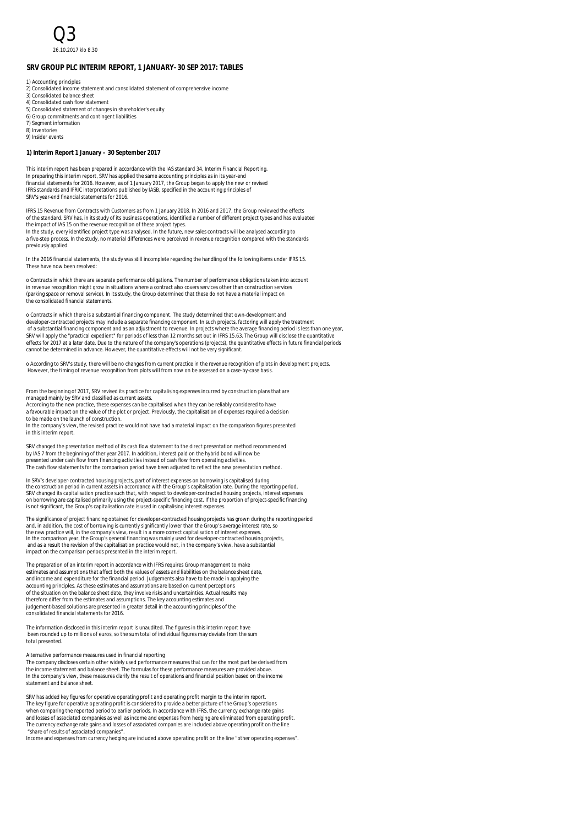**SRV GROUP PLC INTERIM REPORT, 1 JANUARY–30 SEP 2017: TABLES**

1) Accounting principles

- 2) Consolidated income statement and consolidated statement of comprehensive income
- 3) Consolidated balance sheet 4) Consolidated cash flow statement
- 5) Consolidated statement of changes in shareholder's equity
- 6) Group commitments and contingent liabilities
- 7) Segment information
- 8) Inventories 9) Insider events

**1) Interim Report 1 January – 30 September 2017**

This interim report has been prepared in accordance with the IAS standard 34, Interim Financial Reporting. In preparing this interim report, SRV has applied the same accounting principles as in its year-end financial statements for 2016. However, as of 1 January 2017, the Group began to apply the new or revised IFRS standards and IFRIC interpretations published by IASB, specified in the accounting principles of SRV's year-end financial statements for 2016.

IFRS 15 Revenue from Contracts with Customers as from 1 January 2018. In 2016 and 2017, the Group reviewed the effects of the standard. SRV has, in its study of its business operations, identified a number of different project types and has evaluated the impact of IAS 15 on the revenue recognition of these project types. In the study, every identified project type was analysed. In the future, new sales contracts will be analysed according to

a five-step process. In the study, no material differences were perceived in revenue recognition compared with the standards previously applied.

In the 2016 financial statements, the study was still incomplete regarding the handling of the following items under IFRS 15. These have now been resolved:

o Contracts in which there are separate performance obligations. The number of performance obligations taken into account in revenue recognition might grow in situations where a contract also covers services other than construction services (parking space or removal service). In its study, the Group determined that these do not have a material impact on the consolidated financial statements.

o Contracts in which there is a substantial financing component. The study determined that own-development and developer-contracted projects may include a separate financing component. In such projects, factoring will apply the treatment of a substantial financing component and as an adjustment to revenue. In projects where the average financing period is less than one year, SRV will apply the "practical expedient" for periods of less than 12 months set out in IFRS 15.63. The Group will disclose the quantitative effects for 2017 at a later date. Due to the nature of the company's operations (projects), the quantitative effects in future financial periods<br>cannot be determined in advance. However, the quantitative effects will not b

o According to SRV's study, there will be no changes from current practice in the revenue recognition of plots in development projects. However, the timing of revenue recognition from plots will from now on be assessed on a case-by-case basis.

From the beginning of 2017, SRV revised its practice for capitalising expenses incurred by construction plans that are managed mainly by SRV and classified as current assets. According to the new practice, these expenses can be capitalised when they can be reliably considered to have

a favourable impact on the value of the plot or project. Previously, the capitalisation of expenses required a decision to be made on the launch of construction.

In the company's view, the revised practice would not have had a material impact on the comparison figures presented in this interim report.

SRV changed the presentation method of its cash flow statement to the direct presentation method recommended by IAS 7 from the beginning of ther year 2017. In addition, interest paid on the hybrid bond will now be presented under cash flow from financing activities instead of cash flow from operating activities. The cash flow statements for the comparison period have been adjusted to reflect the new presentation method.

In SRV's developer-contracted housing projects, part of interest expenses on borrowing is capitalised during<br>the construction period in current assets in accordance with the Group's capitalisation rate. During the reportin

The significance of project financing obtained for developer-contracted housing projects has grown during the reporting period<br>and, in addition, the cost of borrowing is currently significantly lower than the Group's avera In the comparison year, the Group's general financing was mainly used for developer-contracted housing projects,<br>and as a result the revision of the capitalisation practice would not, in the company's view, have a substant impact on the comparison periods presented in the interim report.

The preparation of an interim report in accordance with IFRS requires Group management to make estimates and assumptions that affect both the values of assets and liabilities on the balance sheet date, and income and expenditure for the financial period. Judgements also have to be made in applying the accounting principles. As these estimates and assumptions are based on current perceptions of the situation on the balance sheet date, they involve risks and uncertainties. Actual results may therefore differ from the estimates and assumptions. The key accounting estimates and judgement-based solutions are presented in greater detail in the accounting principles of the consolidated financial statements for 2016.

The information disclosed in this interim report is unaudited. The figures in this interim report have been rounded up to millions of euros, so the sum total of individual figures may deviate from the sum total presented.

Alternative performance measures used in financial reporting

The company discloses certain other widely used performance measures that can for the most part be derived from the income statement and balance sheet. The formulas for these performance measures are provided above. In the company's view, these measures clarify the result of operations and financial position based on the income statement and balance sheet.

SRV has added key figures for operative operating profit and operating profit margin to the interim report. The key figure for operative operating profit is considered to provide a better picture of the Group's operations<br>when comparing the reported period to earlier periods. In accordance with IFRS, the currency exchange rate g and losses of associated companies as well as income and expenses from hedging are eliminated from operating profit.<br>The currency exchange rate gains and losses of associated companies are included above operating profit o

"share of results of associated companies". Income and expenses from currency hedging are included above operating profit on the line "other operating expenses".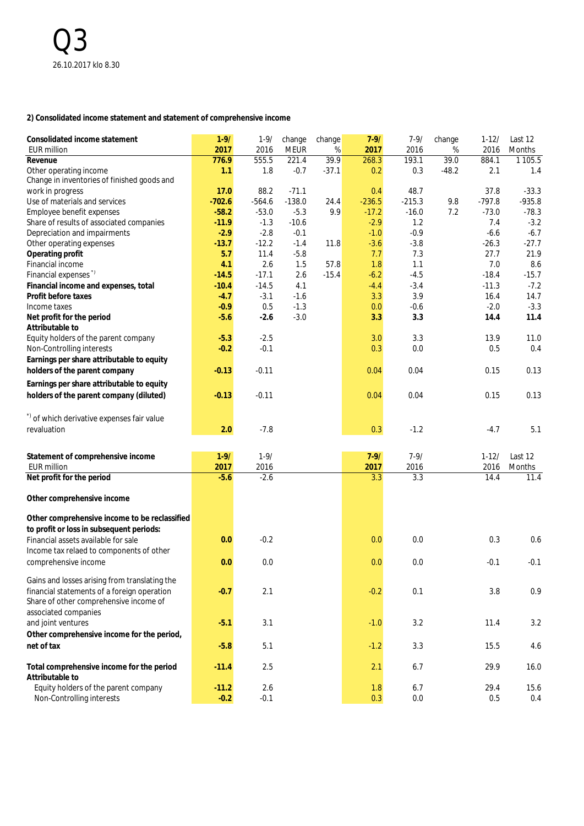#### **2) Consolidated income statement and statement of comprehensive income**

| Consolidated income statement                                         | $1 - 9/$ | $1 - 9/$ | change      | change  | $7 - 9/$ | $7 - 9/$ | change  | $1 - 12/$ | Last 12    |
|-----------------------------------------------------------------------|----------|----------|-------------|---------|----------|----------|---------|-----------|------------|
| <b>EUR million</b>                                                    | 2017     | 2016     | <b>MEUR</b> | $\%$    | 2017     | 2016     | %       | 2016      | Months     |
| Revenue                                                               | 776.9    | 555.5    | 221.4       | 39.9    | 268.3    | 193.1    | 39.0    | 884.1     | 1 1 0 5 .5 |
| Other operating income<br>Change in inventories of finished goods and | 1.1      | 1.8      | $-0.7$      | $-37.1$ | 0.2      | 0.3      | $-48.2$ | 2.1       | 1.4        |
| work in progress                                                      | 17.0     | 88.2     | $-71.1$     |         | 0.4      | 48.7     |         | 37.8      | $-33.3$    |
| Use of materials and services                                         | $-702.6$ | $-564.6$ | $-138.0$    | 24.4    | $-236.5$ | $-215.3$ | 9.8     | $-797.8$  | $-935.8$   |
| Employee benefit expenses                                             | $-58.2$  | $-53.0$  | $-5.3$      | 9.9     | $-17.2$  | $-16.0$  | 7.2     | $-73.0$   | $-78.3$    |
| Share of results of associated companies                              | $-11.9$  | $-1.3$   | $-10.6$     |         | $-2.9$   | 1.2      |         | 7.4       | $-3.2$     |
| Depreciation and impairments                                          | $-2.9$   | $-2.8$   | $-0.1$      |         | $-1.0$   | $-0.9$   |         | $-6.6$    | $-6.7$     |
| Other operating expenses                                              | $-13.7$  | $-12.2$  | $-1.4$      | 11.8    | $-3.6$   | $-3.8$   |         | $-26.3$   | $-27.7$    |
| Operating profit                                                      | 5.7      | 11.4     | $-5.8$      |         | 7.7      | 7.3      |         | 27.7      | 21.9       |
| Financial income                                                      | 4.1      | 2.6      | 1.5         | 57.8    | 1.8      | 1.1      |         | 7.0       | 8.6        |
| Financial expenses"                                                   | $-14.5$  | $-17.1$  | 2.6         | $-15.4$ | $-6.2$   | $-4.5$   |         | $-18.4$   | $-15.7$    |
| Financial income and expenses, total                                  | $-10.4$  | $-14.5$  | 4.1         |         | $-4.4$   | $-3.4$   |         | $-11.3$   | $-7.2$     |
| Profit before taxes                                                   | $-4.7$   | $-3.1$   | $-1.6$      |         | 3.3      | 3.9      |         | 16.4      | 14.7       |
| Income taxes                                                          | $-0.9$   | 0.5      | $-1.3$      |         | 0.0      | $-0.6$   |         | $-2.0$    | $-3.3$     |
| Net profit for the period                                             | $-5.6$   | $-2.6$   | $-3.0$      |         | 3.3      | 3.3      |         | 14.4      | 11.4       |
| Attributable to                                                       |          |          |             |         |          |          |         |           |            |
| Equity holders of the parent company                                  | $-5.3$   | $-2.5$   |             |         | 3.0      | 3.3      |         | 13.9      | 11.0       |
| Non-Controlling interests                                             | $-0.2$   | $-0.1$   |             |         | 0.3      | 0.0      |         | 0.5       | 0.4        |
| Earnings per share attributable to equity                             |          |          |             |         |          |          |         |           |            |
| holders of the parent company                                         | $-0.13$  | $-0.11$  |             |         | 0.04     | 0.04     |         | 0.15      | 0.13       |
| Earnings per share attributable to equity                             |          |          |             |         |          |          |         |           |            |
| holders of the parent company (diluted)                               | $-0.13$  | $-0.11$  |             |         | 0.04     | 0.04     |         | 0.15      | 0.13       |
|                                                                       |          |          |             |         |          |          |         |           |            |
| *) of which derivative expenses fair value                            |          |          |             |         |          |          |         |           |            |
|                                                                       |          |          |             |         |          |          |         |           |            |
| revaluation                                                           | 2.0      | $-7.8$   |             |         | 0.3      | $-1.2$   |         | $-4.7$    | 5.1        |
|                                                                       |          |          |             |         |          |          |         |           |            |
| Statement of comprehensive income                                     | $1 - 9/$ | $1 - 9/$ |             |         | $7 - 9/$ | $7 - 9/$ |         | $1 - 12/$ | Last 12    |
| <b>EUR million</b>                                                    | 2017     | 2016     |             |         | 2017     | 2016     |         | 2016      | Months     |
| Net profit for the period                                             | $-5.6$   | $-2.6$   |             |         | 3.3      | 3.3      |         | 14.4      | 11.4       |
| Other comprehensive income                                            |          |          |             |         |          |          |         |           |            |
|                                                                       |          |          |             |         |          |          |         |           |            |
| Other comprehensive income to be reclassified                         |          |          |             |         |          |          |         |           |            |
| to profit or loss in subsequent periods:                              |          |          |             |         |          |          |         |           |            |
| Financial assets available for sale                                   | 0.0      | $-0.2$   |             |         | 0.0      | 0.0      |         | 0.3       | 0.6        |
| Income tax relaed to components of other                              |          |          |             |         |          |          |         |           |            |
| comprehensive income                                                  | 0.0      | 0.0      |             |         | 0.0      | 0.0      |         | $-0.1$    | $-0.1$     |
|                                                                       |          |          |             |         |          |          |         |           |            |
| Gains and losses arising from translating the                         |          |          |             |         |          |          |         |           |            |
| financial statements of a foreign operation                           | $-0.7$   | 2.1      |             |         | $-0.2$   | 0.1      |         | 3.8       | 0.9        |
| Share of other comprehensive income of                                |          |          |             |         |          |          |         |           |            |
| associated companies                                                  |          |          |             |         |          |          |         |           |            |
| and joint ventures                                                    | $-5.1$   | 3.1      |             |         | $-1.0$   | 3.2      |         | 11.4      | 3.2        |
| Other comprehensive income for the period,                            |          |          |             |         |          |          |         |           |            |
| net of tax                                                            | $-5.8$   | 5.1      |             |         | $-1.2$   | 3.3      |         | 15.5      | 4.6        |
|                                                                       |          |          |             |         |          |          |         |           |            |
| Total comprehensive income for the period                             | $-11.4$  | 2.5      |             |         | 2.1      | 6.7      |         | 29.9      | 16.0       |
| Attributable to                                                       |          |          |             |         |          |          |         |           |            |
| Equity holders of the parent company                                  | $-11.2$  | 2.6      |             |         | 1.8      | 6.7      |         | 29.4      | 15.6       |
| Non-Controlling interests                                             | $-0.2$   | $-0.1$   |             |         | 0.3      | 0.0      |         | 0.5       | 0.4        |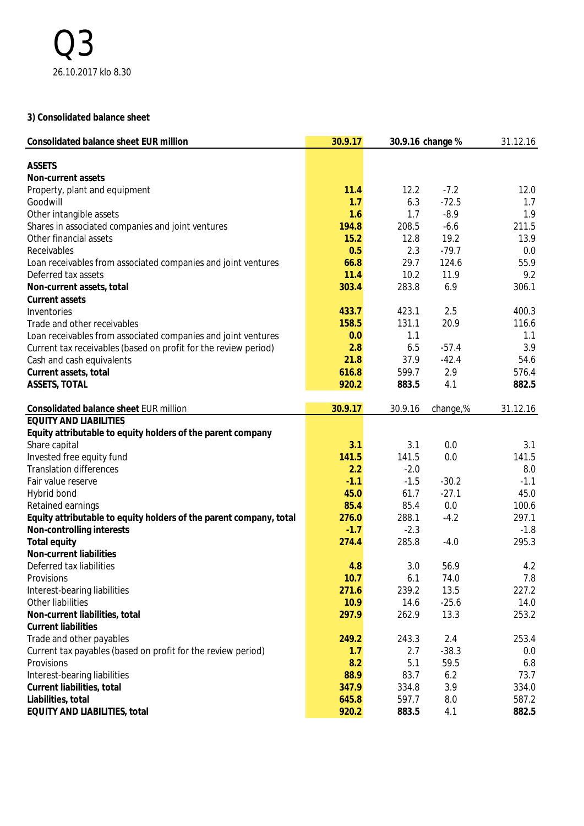#### **3) Consolidated balance sheet**

| Consolidated balance sheet EUR million                             | 30.9.17 | 30.9.16 change % | 31.12.16 |          |
|--------------------------------------------------------------------|---------|------------------|----------|----------|
| <b>ASSETS</b>                                                      |         |                  |          |          |
| Non-current assets                                                 |         |                  |          |          |
| Property, plant and equipment                                      | 11.4    | 12.2             | $-7.2$   | 12.0     |
| Goodwill                                                           | 1.7     | 6.3              | $-72.5$  | 1.7      |
| Other intangible assets                                            | 1.6     | 1.7              | $-8.9$   | 1.9      |
| Shares in associated companies and joint ventures                  | 194.8   | 208.5            | $-6.6$   | 211.5    |
| Other financial assets                                             | 15.2    | 12.8             | 19.2     | 13.9     |
| Receivables                                                        | 0.5     | 2.3              | $-79.7$  | 0.0      |
| Loan receivables from associated companies and joint ventures      | 66.8    | 29.7             | 124.6    | 55.9     |
| Deferred tax assets                                                | 11.4    | 10.2             | 11.9     | 9.2      |
| Non-current assets, total                                          | 303.4   | 283.8            | 6.9      | 306.1    |
| Current assets                                                     |         |                  |          |          |
| Inventories                                                        | 433.7   | 423.1            | 2.5      | 400.3    |
| Trade and other receivables                                        | 158.5   | 131.1            | 20.9     | 116.6    |
| Loan receivables from associated companies and joint ventures      | 0.0     | 1.1              |          | 1.1      |
| Current tax receivables (based on profit for the review period)    | 2.8     | 6.5              | $-57.4$  | 3.9      |
| Cash and cash equivalents                                          | 21.8    | 37.9             | $-42.4$  | 54.6     |
| Current assets, total                                              | 616.8   | 599.7            | 2.9      | 576.4    |
| ASSETS, TOTAL                                                      | 920.2   | 883.5            | 4.1      | 882.5    |
| Consolidated balance sheet EUR million                             | 30.9.17 | 30.9.16          | change,% | 31.12.16 |
| <b>EQUITY AND LIABILITIES</b>                                      |         |                  |          |          |
| Equity attributable to equity holders of the parent company        |         |                  |          |          |
| Share capital                                                      | 3.1     | 3.1              | 0.0      | 3.1      |
| Invested free equity fund                                          | 141.5   | 141.5            | 0.0      | 141.5    |
| <b>Translation differences</b>                                     | 2.2     | $-2.0$           |          | 8.0      |
| Fair value reserve                                                 | $-1.1$  | $-1.5$           | $-30.2$  | $-1.1$   |
| Hybrid bond                                                        | 45.0    | 61.7             | $-27.1$  | 45.0     |
| Retained earnings                                                  | 85.4    | 85.4             | 0.0      | 100.6    |
| Equity attributable to equity holders of the parent company, total | 276.0   | 288.1            | $-4.2$   | 297.1    |
| Non-controlling interests                                          | $-1.7$  | $-2.3$           |          | $-1.8$   |
| Total equity                                                       | 274.4   | 285.8            | $-4.0$   | 295.3    |
| Non-current liabilities                                            |         |                  |          |          |
| Deferred tax liabilities                                           | 4.8     | 3.0              | 56.9     | 4.2      |
| Provisions                                                         | 10.7    | 6.1              | 74.0     | 7.8      |
| Interest-bearing liabilities                                       | 271.6   | 239.2            | 13.5     | 227.2    |
| Other liabilities                                                  | 10.9    | 14.6             | $-25.6$  | 14.0     |
| Non-current liabilities, total                                     | 297.9   | 262.9            | 13.3     | 253.2    |
| <b>Current liabilities</b>                                         |         |                  |          |          |
| Trade and other payables                                           | 249.2   | 243.3            | 2.4      | 253.4    |
| Current tax payables (based on profit for the review period)       | 1.7     | 2.7              | $-38.3$  | 0.0      |
| Provisions                                                         | 8.2     | 5.1              | 59.5     | 6.8      |
| Interest-bearing liabilities                                       | 88.9    | 83.7             | 6.2      | 73.7     |
| Current liabilities, total                                         | 347.9   | 334.8            | 3.9      | 334.0    |
| Liabilities, total                                                 | 645.8   | 597.7            | 8.0      | 587.2    |
| EQUITY AND LIABILITIES, total                                      | 920.2   | 883.5            | 4.1      | 882.5    |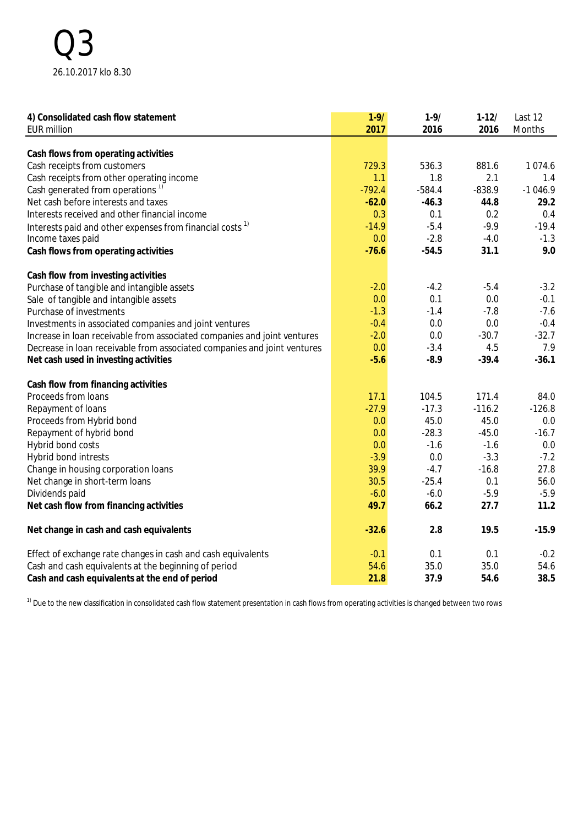| 4) Consolidated cash flow statement                                      | $1 - 9/$ | $1 - 9/$ | $1 - 12/$ | Last 12   |
|--------------------------------------------------------------------------|----------|----------|-----------|-----------|
| <b>EUR million</b>                                                       | 2017     | 2016     | 2016      | Months    |
|                                                                          |          |          |           |           |
| Cash flows from operating activities                                     |          |          |           |           |
| Cash receipts from customers                                             | 729.3    | 536.3    | 881.6     | 1074.6    |
| Cash receipts from other operating income                                | 1.1      | 1.8      | 2.1       | 1.4       |
| Cash generated from operations <sup>1)</sup>                             | $-792.4$ | $-584.4$ | $-838.9$  | $-1046.9$ |
| Net cash before interests and taxes                                      | $-62.0$  | $-46.3$  | 44.8      | 29.2      |
| Interests received and other financial income                            | 0.3      | 0.1      | 0.2       | 0.4       |
| Interests paid and other expenses from financial costs <sup>1)</sup>     | $-14.9$  | $-5.4$   | $-9.9$    | $-19.4$   |
| Income taxes paid                                                        | 0.0      | $-2.8$   | $-4.0$    | $-1.3$    |
| Cash flows from operating activities                                     | $-76.6$  | $-54.5$  | 31.1      | 9.0       |
| Cash flow from investing activities                                      |          |          |           |           |
| Purchase of tangible and intangible assets                               | $-2.0$   | $-4.2$   | $-5.4$    | $-3.2$    |
| Sale of tangible and intangible assets                                   | 0.0      | 0.1      | 0.0       | $-0.1$    |
| Purchase of investments                                                  | $-1.3$   | $-1.4$   | $-7.8$    | $-7.6$    |
| Investments in associated companies and joint ventures                   | $-0.4$   | 0.0      | 0.0       | $-0.4$    |
| Increase in loan receivable from associated companies and joint ventures | $-2.0$   | 0.0      | $-30.7$   | $-32.7$   |
| Decrease in loan receivable from associated companies and joint ventures | 0.0      | $-3.4$   | 4.5       | 7.9       |
| Net cash used in investing activities                                    | $-5.6$   | $-8.9$   | $-39.4$   | $-36.1$   |
| Cash flow from financing activities                                      |          |          |           |           |
| Proceeds from loans                                                      | 17.1     | 104.5    | 171.4     | 84.0      |
| Repayment of loans                                                       | $-27.9$  | $-17.3$  | $-116.2$  | $-126.8$  |
| Proceeds from Hybrid bond                                                | 0.0      | 45.0     | 45.0      | 0.0       |
| Repayment of hybrid bond                                                 | 0.0      | $-28.3$  | $-45.0$   | $-16.7$   |
| Hybrid bond costs                                                        | 0.0      | $-1.6$   | $-1.6$    | 0.0       |
| Hybrid bond intrests                                                     | $-3.9$   | 0.0      | $-3.3$    | $-7.2$    |
| Change in housing corporation loans                                      | 39.9     | $-4.7$   | $-16.8$   | 27.8      |
| Net change in short-term loans                                           | 30.5     | $-25.4$  | 0.1       | 56.0      |
| Dividends paid                                                           | $-6.0$   | $-6.0$   | $-5.9$    | $-5.9$    |
| Net cash flow from financing activities                                  | 49.7     | 66.2     | 27.7      | 11.2      |
| Net change in cash and cash equivalents                                  | $-32.6$  | 2.8      | 19.5      | $-15.9$   |
| Effect of exchange rate changes in cash and cash equivalents             | $-0.1$   | 0.1      | 0.1       | $-0.2$    |
| Cash and cash equivalents at the beginning of period                     | 54.6     | 35.0     | 35.0      | 54.6      |
| Cash and cash equivalents at the end of period                           | 21.8     | 37.9     | 54.6      | 38.5      |

 $1)$  Due to the new classification in consolidated cash flow statement presentation in cash flows from operating activities is changed between two rows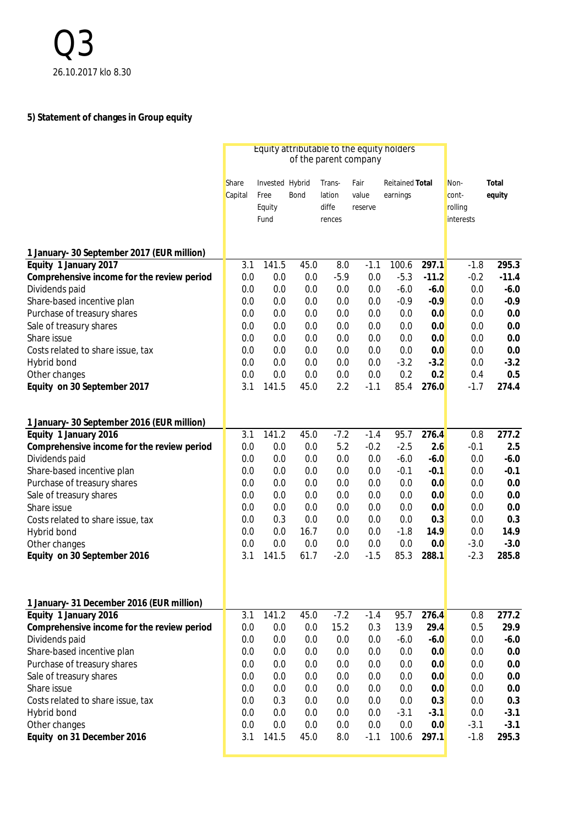# **5) Statement of changes in Group equity**

|                                            |                  | Equity attributable to the equity holders |      |                                     |                          |                                    |         |                                       |                 |
|--------------------------------------------|------------------|-------------------------------------------|------|-------------------------------------|--------------------------|------------------------------------|---------|---------------------------------------|-----------------|
|                                            | Share<br>Capital | Invested Hybrid<br>Free<br>Equity<br>Fund | Bond | Trans-<br>lation<br>diffe<br>rences | Fair<br>value<br>reserve | <b>Reitained Total</b><br>earnings |         | Non-<br>cont-<br>rolling<br>interests | Total<br>equity |
| 1 January- 30 September 2017 (EUR million) |                  |                                           |      |                                     |                          |                                    |         |                                       |                 |
| Equity 1 January 2017                      | 3.1              | 141.5                                     | 45.0 | 8.0                                 | $-1.1$                   | 100.6                              | 297.1   | $-1.8$                                | 295.3           |
| Comprehensive income for the review period | 0.0              | 0.0                                       | 0.0  | $-5.9$                              | $0.0\,$                  | $-5.3$                             | $-11.2$ | $-0.2$                                | $-11.4$         |
| Dividends paid                             | 0.0              | 0.0                                       | 0.0  | 0.0                                 | 0.0                      | $-6.0$                             | $-6.0$  | 0.0                                   | $-6.0$          |
| Share-based incentive plan                 | 0.0              | 0.0                                       | 0.0  | 0.0                                 | 0.0                      | $-0.9$                             | $-0.9$  | 0.0                                   | $-0.9$          |
| Purchase of treasury shares                | 0.0              | 0.0                                       | 0.0  | 0.0                                 | 0.0                      | 0.0                                | 0.0     | 0.0                                   | 0.0             |
| Sale of treasury shares                    | 0.0              | 0.0                                       | 0.0  | 0.0                                 | 0.0                      | 0.0                                | 0.0     | 0.0                                   | 0.0             |
| Share issue                                | 0.0              | 0.0                                       | 0.0  | 0.0                                 | 0.0                      | 0.0                                | 0.0     | 0.0                                   | 0.0             |
| Costs related to share issue, tax          | 0.0              | 0.0                                       | 0.0  | 0.0                                 | 0.0                      | 0.0                                | 0.0     | 0.0                                   | 0.0             |
| Hybrid bond                                | 0.0              | 0.0                                       | 0.0  | 0.0                                 | 0.0                      | $-3.2$                             | $-3.2$  | 0.0                                   | $-3.2$          |
| Other changes                              | 0.0              | 0.0                                       | 0.0  | 0.0                                 | 0.0                      | 0.2                                | 0.2     | 0.4                                   | 0.5             |
| Equity on 30 September 2017                | 3.1              | 141.5                                     | 45.0 | 2.2                                 | $-1.1$                   | 85.4                               | 276.0   | $-1.7$                                | 274.4           |
| 1 January- 30 September 2016 (EUR million) |                  |                                           |      |                                     |                          |                                    |         |                                       |                 |
| Equity 1 January 2016                      | 3.1              | 141.2                                     | 45.0 | $-7.2$                              | $-1.4$                   | 95.7                               | 276.4   | 0.8                                   | 277.2           |
| Comprehensive income for the review period | 0.0              | 0.0                                       | 0.0  | 5.2                                 | $-0.2$                   | $-2.5$                             | 2.6     | $-0.1$                                | 2.5             |
| Dividends paid                             | 0.0              | 0.0                                       | 0.0  | 0.0                                 | 0.0                      | $-6.0$                             | $-6.0$  | 0.0                                   | $-6.0$          |
| Share-based incentive plan                 | 0.0              | 0.0                                       | 0.0  | 0.0                                 | 0.0                      | $-0.1$                             | $-0.1$  | 0.0                                   | $-0.1$          |
| Purchase of treasury shares                | 0.0              | 0.0                                       | 0.0  | 0.0                                 | 0.0                      | 0.0                                | 0.0     | 0.0                                   | 0.0             |
| Sale of treasury shares                    | 0.0              | 0.0                                       | 0.0  | 0.0                                 | 0.0                      | 0.0                                | 0.0     | 0.0                                   | 0.0             |
| Share issue                                | 0.0              | 0.0                                       | 0.0  | 0.0                                 | 0.0                      | 0.0                                | 0.0     | 0.0                                   | 0.0             |
| Costs related to share issue, tax          | 0.0              | 0.3                                       | 0.0  | 0.0                                 | 0.0                      | 0.0                                | 0.3     | 0.0                                   | 0.3             |
| Hybrid bond                                | 0.0              | 0.0                                       | 16.7 | 0.0                                 | 0.0                      | $-1.8$                             | 14.9    | 0.0                                   | 14.9            |
| Other changes                              | 0.0              | 0.0                                       | 0.0  | 0.0                                 | 0.0                      | 0.0                                | 0.0     | $-3.0$                                | $-3.0$          |
| Equity on 30 September 2016                | 3.1              | 141.5                                     | 61.7 | $-2.0$                              | $-1.5$                   | 85.3                               | 288.1   | $-2.3$                                | 285.8           |
|                                            |                  |                                           |      |                                     |                          |                                    |         |                                       |                 |
| 1 January- 31 December 2016 (EUR million)  |                  |                                           |      |                                     |                          |                                    |         |                                       |                 |
| Equity 1 January 2016                      | 3.1              | 141.2                                     | 45.0 | $-7.2$                              | $-1.4$                   | 95.7                               | 276.4   | 0.8                                   | 277.2           |
| Comprehensive income for the review period | 0.0              | 0.0                                       | 0.0  | 15.2                                | 0.3                      | 13.9                               | 29.4    | 0.5                                   | 29.9            |
| Dividends paid                             | 0.0              | 0.0                                       | 0.0  | 0.0                                 | 0.0                      | $-6.0$                             | $-6.0$  | 0.0                                   | $-6.0$          |
| Share-based incentive plan                 | 0.0              | 0.0                                       | 0.0  | 0.0                                 | 0.0                      | 0.0                                | 0.0     | 0.0                                   | 0.0             |
| Purchase of treasury shares                | 0.0              | 0.0                                       | 0.0  | 0.0                                 | 0.0                      | 0.0                                | 0.0     | 0.0                                   | 0.0             |
| Sale of treasury shares                    | 0.0              | 0.0                                       | 0.0  | 0.0                                 | 0.0                      | 0.0                                | 0.0     | 0.0                                   | 0.0             |
| Share issue                                | 0.0              | 0.0                                       | 0.0  | 0.0                                 | 0.0                      | 0.0                                | 0.0     | 0.0                                   | 0.0             |
| Costs related to share issue, tax          | 0.0              | 0.3                                       | 0.0  | 0.0                                 | 0.0                      | 0.0                                | 0.3     | 0.0                                   | 0.3             |
| Hybrid bond                                | 0.0              | 0.0                                       | 0.0  | 0.0                                 | 0.0                      | $-3.1$                             | $-3.1$  | 0.0                                   | $-3.1$          |
| Other changes                              | 0.0              | 0.0                                       | 0.0  | 0.0                                 | 0.0                      | 0.0                                | 0.0     | $-3.1$                                | $-3.1$          |
| Equity on 31 December 2016                 | 3.1              | 141.5                                     | 45.0 | 8.0                                 | $-1.1$                   | 100.6                              | 297.1   | $-1.8$                                | 295.3           |
|                                            |                  |                                           |      |                                     |                          |                                    |         |                                       |                 |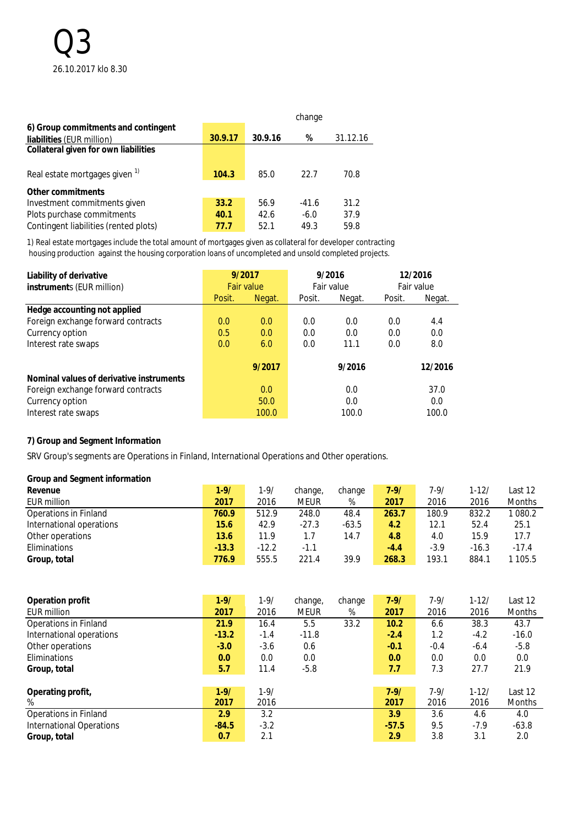|                                           |         |         | change  |          |
|-------------------------------------------|---------|---------|---------|----------|
| 6) Group commitments and contingent       |         |         |         |          |
| liabilities (EUR million)                 | 30.9.17 | 30.9.16 | %       | 31.12.16 |
| Collateral given for own liabilities      |         |         |         |          |
| Real estate mortgages given <sup>1)</sup> | 104.3   | 85.0    | 22.7    | 70.8     |
| Other commitments                         |         |         |         |          |
| Investment commitments given              | 33.2    | 56.9    | $-41.6$ | 31.2     |
| Plots purchase commitments                | 40.1    | 42.6    | $-6.0$  | 37.9     |
| Contingent liabilities (rented plots)     | 77.7    | 52.1    | 49.3    | 59.8     |

1) Real estate mortgages include the total amount of mortgages given as collateral for developer contracting housing production against the housing corporation loans of uncompleted and unsold completed projects.

| Liability of derivative<br>instruments (EUR million) | 9/2017<br><b>Fair value</b> |        | 9/2016<br>Fair value |        |        | 12/2016<br>Fair value |
|------------------------------------------------------|-----------------------------|--------|----------------------|--------|--------|-----------------------|
|                                                      | Posit.                      | Negat. | Posit.               | Negat. | Posit. | Negat.                |
| Hedge accounting not applied                         |                             |        |                      |        |        |                       |
| Foreign exchange forward contracts                   | 0.0                         | 0.0    | 0.0                  | 0.0    | 0.0    | 4.4                   |
| Currency option                                      | 0.5                         | 0.0    | 0.0                  | 0.0    | 0.0    | 0.0                   |
| Interest rate swaps                                  | 0.0                         | 6.0    |                      | 11.1   | 0.0    | 8.0                   |
|                                                      |                             | 9/2017 |                      | 9/2016 |        | 12/2016               |
| Nominal values of derivative instruments             |                             |        |                      |        |        |                       |
| Foreign exchange forward contracts                   |                             | 0.0    |                      | 0.0    |        | 37.0                  |
| Currency option                                      |                             | 50.0   |                      | 0.0    |        | 0.0                   |
| Interest rate swaps                                  |                             | 100.0  |                      | 100.0  |        | 100.0                 |

#### **7) Group and Segment Information**

SRV Group's segments are Operations in Finland, International Operations and Other operations.

#### **Group and Segment information**

| Revenue                      | $1 - 9/$ | $1 - 9/$ | change,     | change  | 7-9/   | 7-9/   | $1 - 12/$ | Last 12       |
|------------------------------|----------|----------|-------------|---------|--------|--------|-----------|---------------|
| EUR million                  | 2017     | 2016     | <b>MEUR</b> | %       | 2017   | 2016   | 2016      | <b>Months</b> |
| <b>Operations in Finland</b> | 760.9    | 512.9    | 248.0       | 48.4    | 263.7  | 180.9  | 832.2     | 080.2         |
| International operations     | 15.6     | 42.9     | $-27.3$     | $-63.5$ | 4.2    | 12.1   | 52.4      | 25.1          |
| Other operations             | 13.6     | 11.9     |             | 14.7    | 4.8    | 4.0    | 15.9      | 17.7          |
| <b>Eliminations</b>          | $-13.3$  | $-12.2$  | -1.1        |         | $-4.4$ | $-3.9$ | $-16.3$   | $-17.4$       |
| Group, total                 | 776.9    | 555.5    | 221.4       | 39.9    | 268.3  | 193.1  | 884.7     | 105.5         |

| Operation profit                | $1 - 9/$ | $1 - 9/$ | change, | change | $7 - 9/$ | $7 - 9/$ | $1 - 12/$ | Last 12       |
|---------------------------------|----------|----------|---------|--------|----------|----------|-----------|---------------|
| EUR million                     | 2017     | 2016     | meur    | %      | 2017     | 2016     | 2016      | <b>Months</b> |
| <b>Operations in Finland</b>    | 21.9     | 16.4     | 5.5     | 33.2   | 10.2     | 6.6      | 38.3      | 43.7          |
| International operations        | $-13.2$  | $-1.4$   | $-11.8$ |        | $-2.4$   | 1.2      | $-4.2$    | $-16.0$       |
| Other operations                | $-3.0$   | $-3.6$   | 0.6     |        | $-0.1$   | $-0.4$   | $-6.4$    | $-5.8$        |
| <b>Eliminations</b>             | 0.0      | 0.0      | 0.0     |        | 0.0      | 0.0      | 0.0       | 0.0           |
| Group, total                    | 5.7      | 11.4     | $-5.8$  |        | 7.7      | 7.3      | 27.7      | 21.9          |
|                                 |          |          |         |        |          |          |           |               |
| Operating profit,               | $1 - 9/$ | $1 - 9/$ |         |        | $7 - 9/$ | $7 - 9/$ | $1 - 12/$ | Last 12       |
| %                               | 2017     | 2016     |         |        | 2017     | 2016     | 2016      | <b>Months</b> |
| <b>Operations in Finland</b>    | 2.9      | 3.2      |         |        | 3.9      | 3.6      | 4.6       | 4.0           |
| <b>International Operations</b> | $-84.5$  | $-3.2$   |         |        | $-57.5$  | 9.5      | $-7.9$    | $-63.8$       |
| Group, total                    | 0.7      | 2.1      |         |        | 2.9      | 3.8      | 3.1       | 2.0           |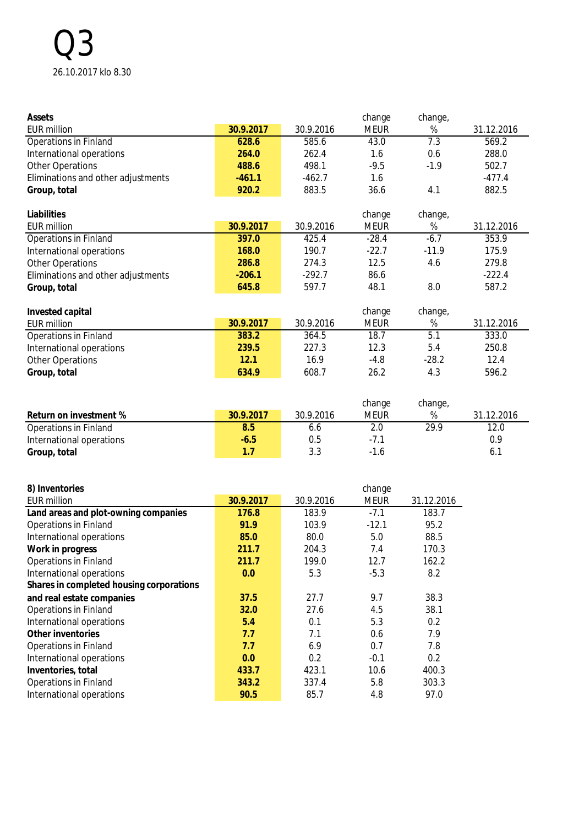# Q3 26.10.2017 klo 8.30

| Assets                                            |               |               | change      | change,       |            |
|---------------------------------------------------|---------------|---------------|-------------|---------------|------------|
| <b>EUR million</b>                                | 30.9.2017     | 30.9.2016     | <b>MEUR</b> | $\%$          | 31.12.2016 |
| Operations in Finland                             | 628.6         | 585.6         | 43.0        | 7.3           | 569.2      |
| International operations                          | 264.0         | 262.4         | 1.6         | 0.6           | 288.0      |
| <b>Other Operations</b>                           | 488.6         | 498.1         | $-9.5$      | $-1.9$        | 502.7      |
| Eliminations and other adjustments                | $-461.1$      | $-462.7$      | 1.6         |               | $-477.4$   |
| Group, total                                      | 920.2         | 883.5         | 36.6        | 4.1           | 882.5      |
|                                                   |               |               |             |               |            |
| Liabilities                                       |               |               | change      | change,       |            |
| <b>EUR million</b>                                | 30.9.2017     | 30.9.2016     | <b>MEUR</b> | $\%$          | 31.12.2016 |
| Operations in Finland                             | 397.0         | 425.4         | $-28.4$     | $-6.7$        | 353.9      |
| International operations                          | 168.0         | 190.7         | $-22.7$     | $-11.9$       | 175.9      |
| <b>Other Operations</b>                           | 286.8         | 274.3         | 12.5        | 4.6           | 279.8      |
| Eliminations and other adjustments                | $-206.1$      | $-292.7$      | 86.6        |               | $-222.4$   |
| Group, total                                      | 645.8         | 597.7         | 48.1        | 8.0           | 587.2      |
|                                                   |               |               |             |               |            |
| Invested capital                                  |               |               | change      | change,       |            |
| <b>EUR million</b>                                | 30.9.2017     | 30.9.2016     | <b>MEUR</b> | $\%$          | 31.12.2016 |
| Operations in Finland                             | 383.2         | 364.5         | 18.7        | 5.1           | 333.0      |
| International operations                          | 239.5         | 227.3         | 12.3        | 5.4           | 250.8      |
| <b>Other Operations</b>                           | 12.1          | 16.9          | $-4.8$      | $-28.2$       | 12.4       |
| Group, total                                      | 634.9         | 608.7         | 26.2        | 4.3           | 596.2      |
|                                                   |               |               |             |               |            |
|                                                   |               |               |             |               |            |
|                                                   |               |               | change      | change,       |            |
| Return on investment %                            | 30.9.2017     | 30.9.2016     | <b>MEUR</b> | %             | 31.12.2016 |
| Operations in Finland                             | 8.5           | 6.6           | 2.0         | 29.9          | 12.0       |
| International operations                          | $-6.5$        | 0.5           | $-7.1$      |               | 0.9        |
| Group, total                                      | 1.7           | 3.3           | $-1.6$      |               | 6.1        |
|                                                   |               |               |             |               |            |
|                                                   |               |               |             |               |            |
| 8) Inventories                                    |               |               | change      |               |            |
| <b>EUR million</b>                                | 30.9.2017     | 30.9.2016     | <b>MEUR</b> | 31.12.2016    |            |
| Land areas and plot-owning companies              | 176.8         | 183.9         | $-7.1$      | 183.7         |            |
| Operations in Finland                             | 91.9          | 103.9         | $-12.1$     | 95.2          |            |
| International operations                          | 85.0          | 80.0          | 5.0         | 88.5          |            |
| Work in progress                                  | 211.7         | 204.3         | 7.4         | 170.3         |            |
| <b>Operations in Finland</b>                      | 211.7         | 199.0         | 12.7        | 162.2         |            |
| International operations                          | 0.0           | 5.3           | $-5.3$      | 8.2           |            |
| Shares in completed housing corporations          |               |               |             |               |            |
| and real estate companies                         | 37.5          | 27.7          | 9.7         | 38.3          |            |
| Operations in Finland                             |               |               |             | 38.1          |            |
|                                                   |               |               |             |               |            |
|                                                   | 32.0          | 27.6          | 4.5         |               |            |
| International operations                          | 5.4           | 0.1           | 5.3         | 0.2           |            |
| Other inventories                                 | 7.7           | 7.1           | 0.6         | 7.9           |            |
| Operations in Finland                             | 7.7           | 6.9           | 0.7         | 7.8           |            |
| International operations                          | 0.0           | 0.2           | $-0.1$      | 0.2           |            |
| Inventories, total                                | 433.7         | 423.1         | 10.6        | 400.3         |            |
| Operations in Finland<br>International operations | 343.2<br>90.5 | 337.4<br>85.7 | 5.8<br>4.8  | 303.3<br>97.0 |            |